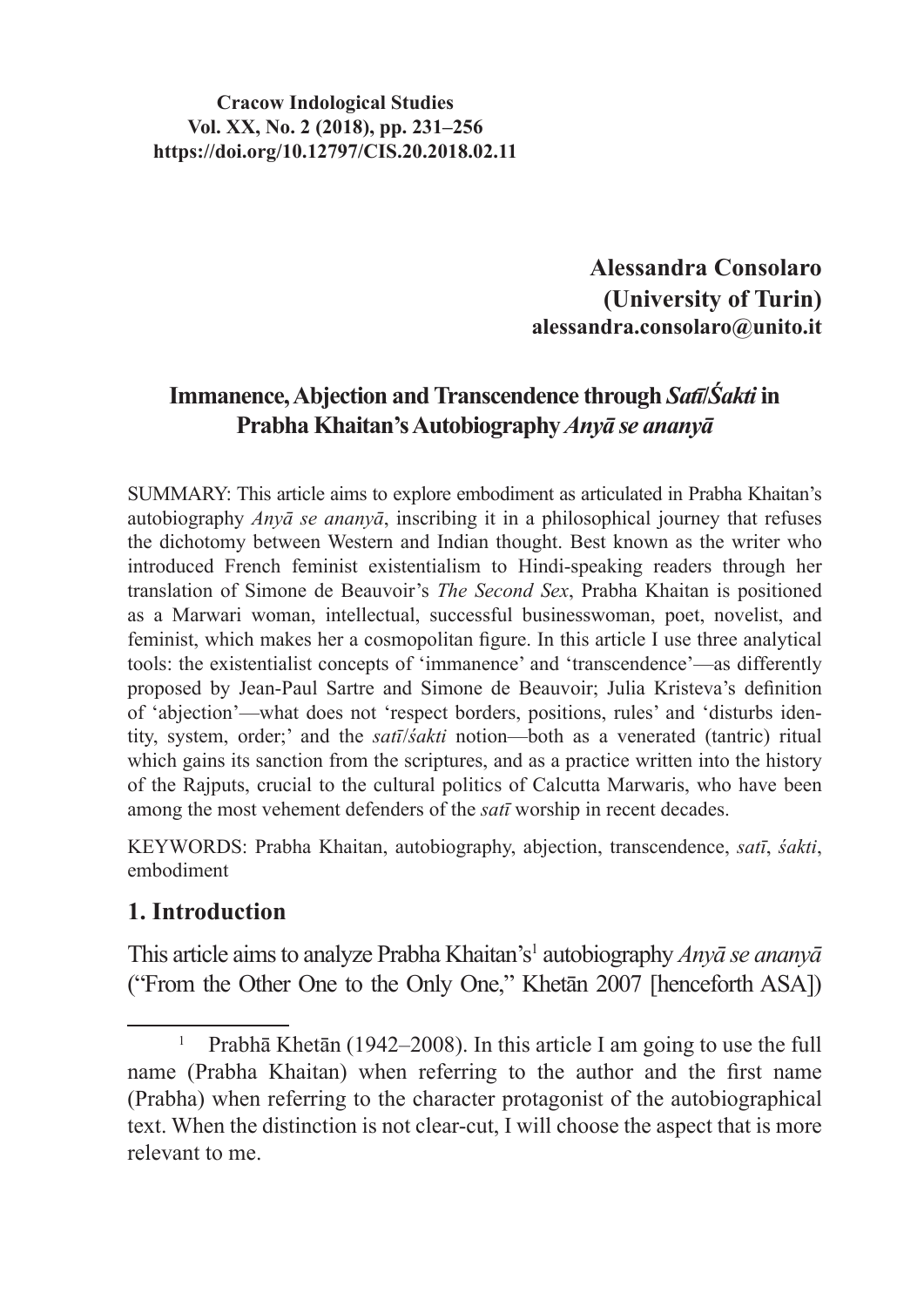#### **Cracow Indological Studies Vol. XX, No. 2 (2018), pp. 231–256 https://doi.org/10.12797/CIS.20.2018.02.11**

**Alessandra Consolaro (University of Turin) alessandra.consolaro@unito.it**

# **Immanence, Abjection and Transcendence through** *Satī***/***Śakti* **in Prabha Khaitan's Autobiography** *Anyā se ananyā*

SUMMARY: This article aims to explore embodiment as articulated in Prabha Khaitan's autobiography *Anyā se ananyā*, inscribing it in a philosophical journey that refuses the dichotomy between Western and Indian thought. Best known as the writer who introduced French feminist existentialism to Hindi-speaking readers through her translation of Simone de Beauvoir's *The Second Sex*, Prabha Khaitan is positioned as a Marwari woman, intellectual, successful businesswoman, poet, novelist, and feminist, which makes her a cosmopolitan figure. In this article I use three analytical tools: the existentialist concepts of 'immanence' and 'transcendence'—as differently proposed by Jean-Paul Sartre and Simone de Beauvoir; Julia Kristeva's definition of 'abjection'—what does not 'respect borders, positions, rules' and 'disturbs identity, system, order;' and the *satī*/*śakti* notion—both as a venerated (tantric) ritual which gains its sanction from the scriptures, and as a practice written into the history of the Rajputs, crucial to the cultural politics of Calcutta Marwaris, who have been among the most vehement defenders of the *satī* worship in recent decades.

KEYWORDS: Prabha Khaitan, autobiography, abjection, transcendence, *satī*, *śakti*, embodiment

### **1. Introduction**

This article aimsto analyze Prabha Khaitan's<sup>1</sup> autobiography *Anyā se ananyā*  ("From the Other One to the Only One," Khetān 2007 [henceforth ASA])

<sup>1</sup> Prabhā Khetān (1942–2008). In this article I am going to use the full name (Prabha Khaitan) when referring to the author and the first name (Prabha) when referring to the character protagonist of the autobiographical text. When the distinction is not clear-cut, I will choose the aspect that is more relevant to me.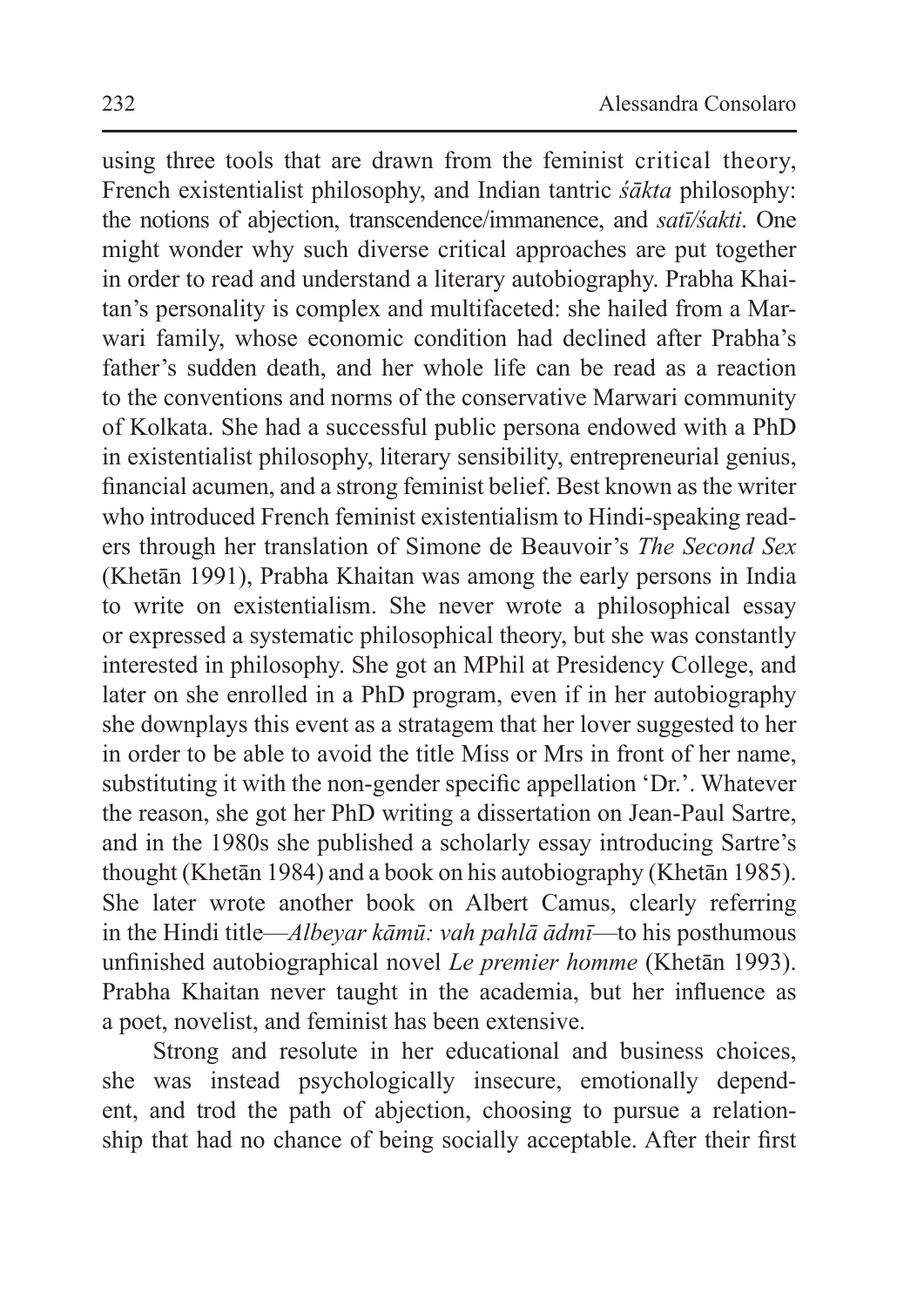using three tools that are drawn from the feminist critical theory, French existentialist philosophy, and Indian tantric *śākta* philosophy: the notions of abjection, transcendence/immanence, and *satī/śakti*. One might wonder why such diverse critical approaches are put together in order to read and understand a literary autobiography. Prabha Khaitan's personality is complex and multifaceted: she hailed from a Marwari family, whose economic condition had declined after Prabha's father's sudden death, and her whole life can be read as a reaction to the conventions and norms of the conservative Marwari community of Kolkata. She had a successful public persona endowed with a PhD in existentialist philosophy, literary sensibility, entrepreneurial genius, financial acumen, and a strong feminist belief. Best known as the writer who introduced French feminist existentialism to Hindi-speaking readers through her translation of Simone de Beauvoir's *The Second Sex*  (Khetān 1991), Prabha Khaitan was among the early persons in India to write on existentialism. She never wrote a philosophical essay or expressed a systematic philosophical theory, but she was constantly interested in philosophy. She got an MPhil at Presidency College, and later on she enrolled in a PhD program, even if in her autobiography she downplays this event as a stratagem that her lover suggested to her in order to be able to avoid the title Miss or Mrs in front of her name, substituting it with the non-gender specific appellation 'Dr.'. Whatever the reason, she got her PhD writing a dissertation on Jean-Paul Sartre, and in the 1980s she published a scholarly essay introducing Sartre's thought (Khetān 1984) and a book on his autobiography (Khetān 1985). She later wrote another book on Albert Camus, clearly referring in the Hindi title—*Albeyar kāmū: vah pahlā ādmī*—to his posthumous unfinished autobiographical novel *Le premier homme* (Khetān 1993). Prabha Khaitan never taught in the academia, but her influence as a poet, novelist, and feminist has been extensive.

Strong and resolute in her educational and business choices, she was instead psychologically insecure, emotionally dependent, and trod the path of abjection, choosing to pursue a relationship that had no chance of being socially acceptable. After their first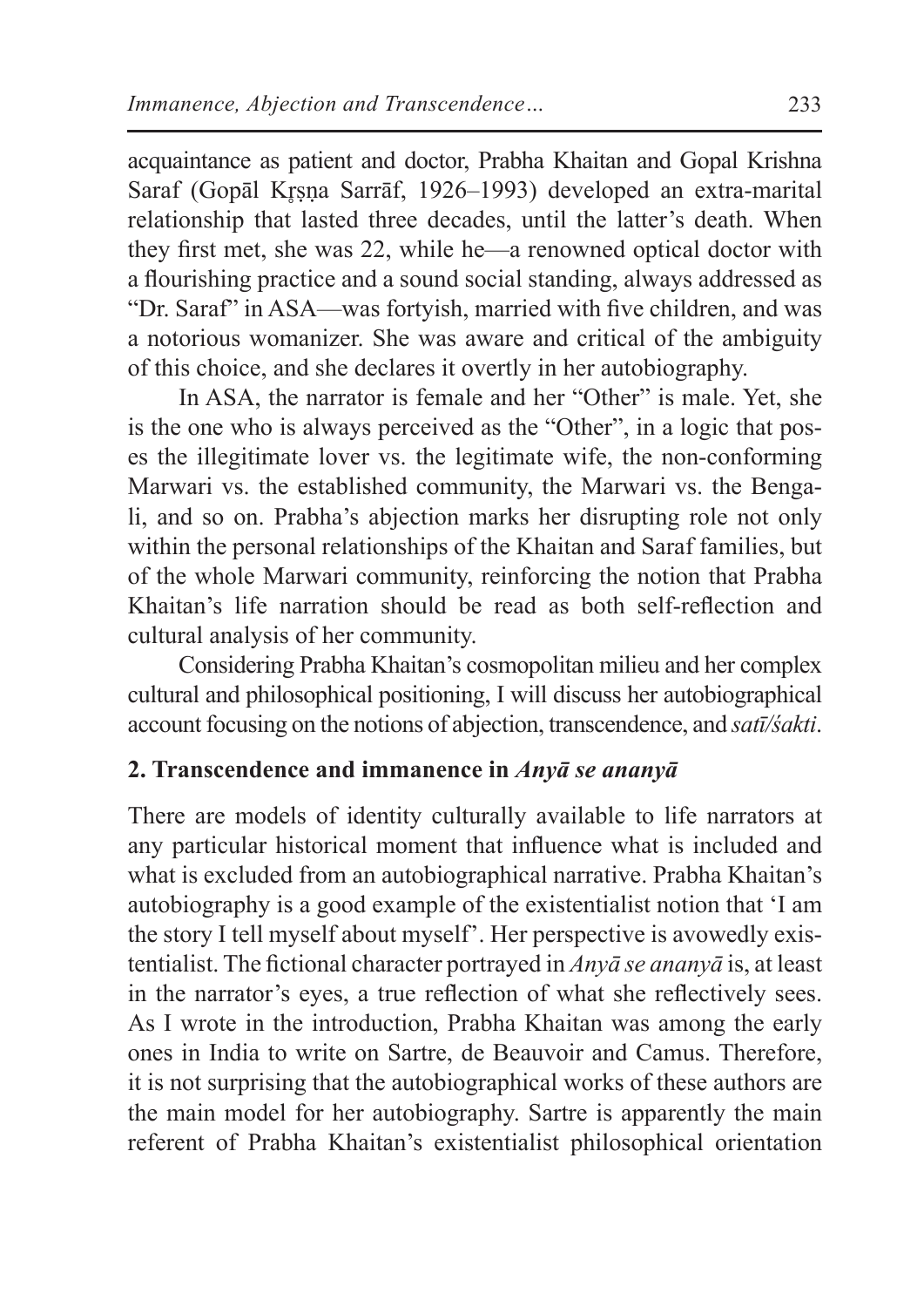acquaintance as patient and doctor, Prabha Khaitan and Gopal Krishna Saraf (Gopāl Krsna Sarrāf, 1926–1993) developed an extra-marital relationship that lasted three decades, until the latter's death. When they first met, she was 22, while he—a renowned optical doctor with a flourishing practice and a sound social standing, always addressed as "Dr. Saraf" in ASA—was fortyish, married with five children, and was a notorious womanizer. She was aware and critical of the ambiguity of this choice, and she declares it overtly in her autobiography.

In ASA, the narrator is female and her "Other" is male. Yet, she is the one who is always perceived as the "Other", in a logic that poses the illegitimate lover vs. the legitimate wife, the non-conforming Marwari vs. the established community, the Marwari vs. the Bengali, and so on. Prabha's abjection marks her disrupting role not only within the personal relationships of the Khaitan and Saraf families, but of the whole Marwari community, reinforcing the notion that Prabha Khaitan's life narration should be read as both self-reflection and cultural analysis of her community.

Considering Prabha Khaitan's cosmopolitan milieu and her complex cultural and philosophical positioning, I will discuss her autobiographical account focusing on the notions of abjection, transcendence, and *satī/śakti*.

### **2. Transcendence and immanence in** *Anyā se ananyā*

There are models of identity culturally available to life narrators at any particular historical moment that influence what is included and what is excluded from an autobiographical narrative. Prabha Khaitan's autobiography is a good example of the existentialist notion that 'I am the story I tell myself about myself'. Her perspective is avowedly existentialist. The fictional character portrayed in *Anyā se ananyā* is, at least in the narrator's eyes, a true reflection of what she reflectively sees. As I wrote in the introduction, Prabha Khaitan was among the early ones in India to write on Sartre, de Beauvoir and Camus. Therefore, it is not surprising that the autobiographical works of these authors are the main model for her autobiography. Sartre is apparently the main referent of Prabha Khaitan's existentialist philosophical orientation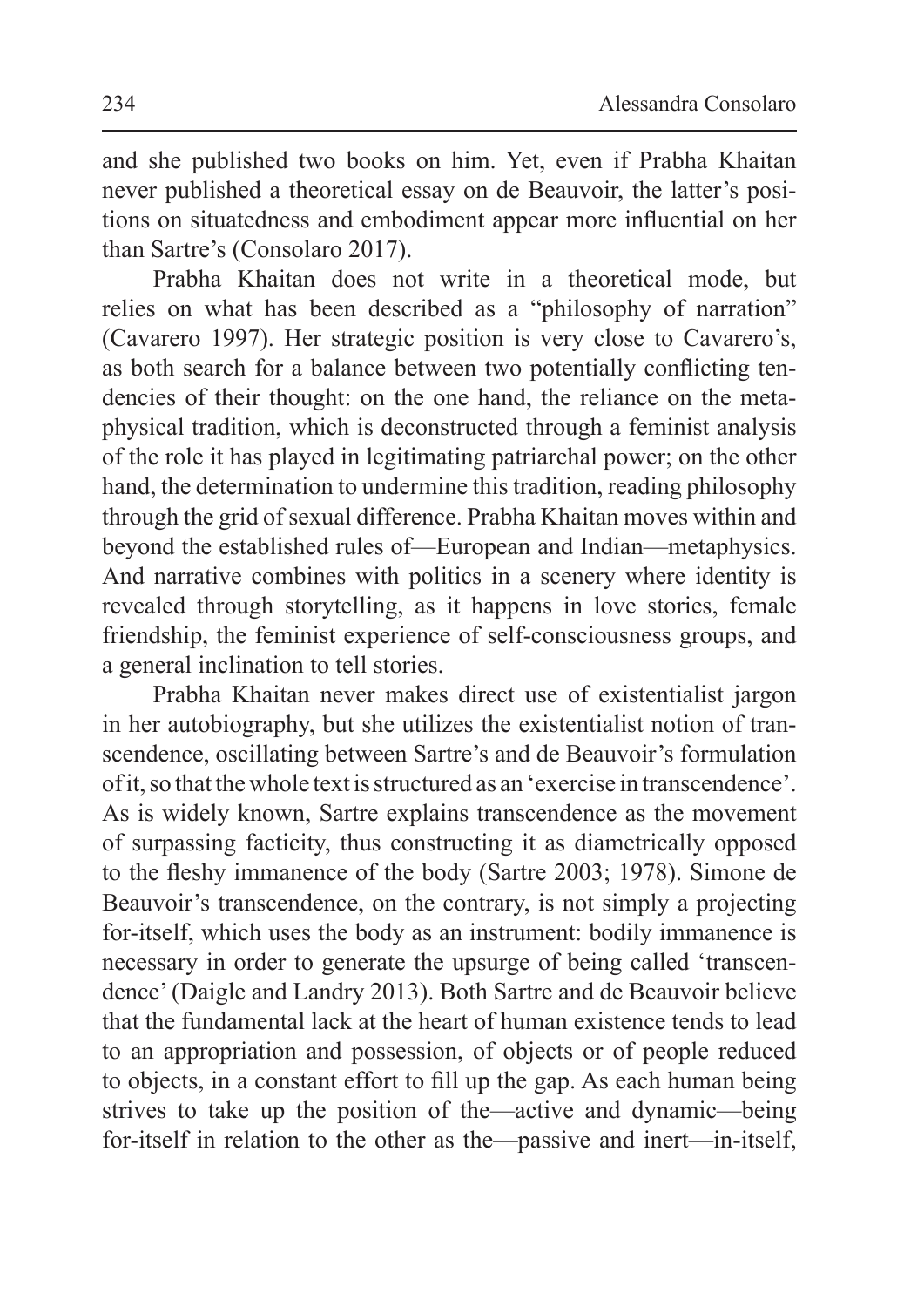and she published two books on him. Yet, even if Prabha Khaitan never published a theoretical essay on de Beauvoir, the latter's positions on situatedness and embodiment appear more influential on her than Sartre's (Consolaro 2017).

Prabha Khaitan does not write in a theoretical mode, but relies on what has been described as a "philosophy of narration" (Cavarero 1997). Her strategic position is very close to Cavarero's, as both search for a balance between two potentially conflicting tendencies of their thought: on the one hand, the reliance on the metaphysical tradition, which is deconstructed through a feminist analysis of the role it has played in legitimating patriarchal power; on the other hand, the determination to undermine this tradition, reading philosophy through the grid of sexual difference. Prabha Khaitan moves within and beyond the established rules of—European and Indian—metaphysics. And narrative combines with politics in a scenery where identity is revealed through storytelling, as it happens in love stories, female friendship, the feminist experience of self-consciousness groups, and a general inclination to tell stories.

Prabha Khaitan never makes direct use of existentialist jargon in her autobiography, but she utilizes the existentialist notion of transcendence, oscillating between Sartre's and de Beauvoir's formulation of it,so that the whole text isstructured as an 'exercise in transcendence'. As is widely known, Sartre explains transcendence as the movement of surpassing facticity, thus constructing it as diametrically opposed to the fleshy immanence of the body (Sartre 2003; 1978). Simone de Beauvoir's transcendence, on the contrary, is not simply a projecting for-itself, which uses the body as an instrument: bodily immanence is necessary in order to generate the upsurge of being called 'transcendence'(Daigle and Landry 2013). Both Sartre and de Beauvoir believe that the fundamental lack at the heart of human existence tends to lead to an appropriation and possession, of objects or of people reduced to objects, in a constant effort to fill up the gap. As each human being strives to take up the position of the—active and dynamic—being for-itself in relation to the other as the—passive and inert—in-itself,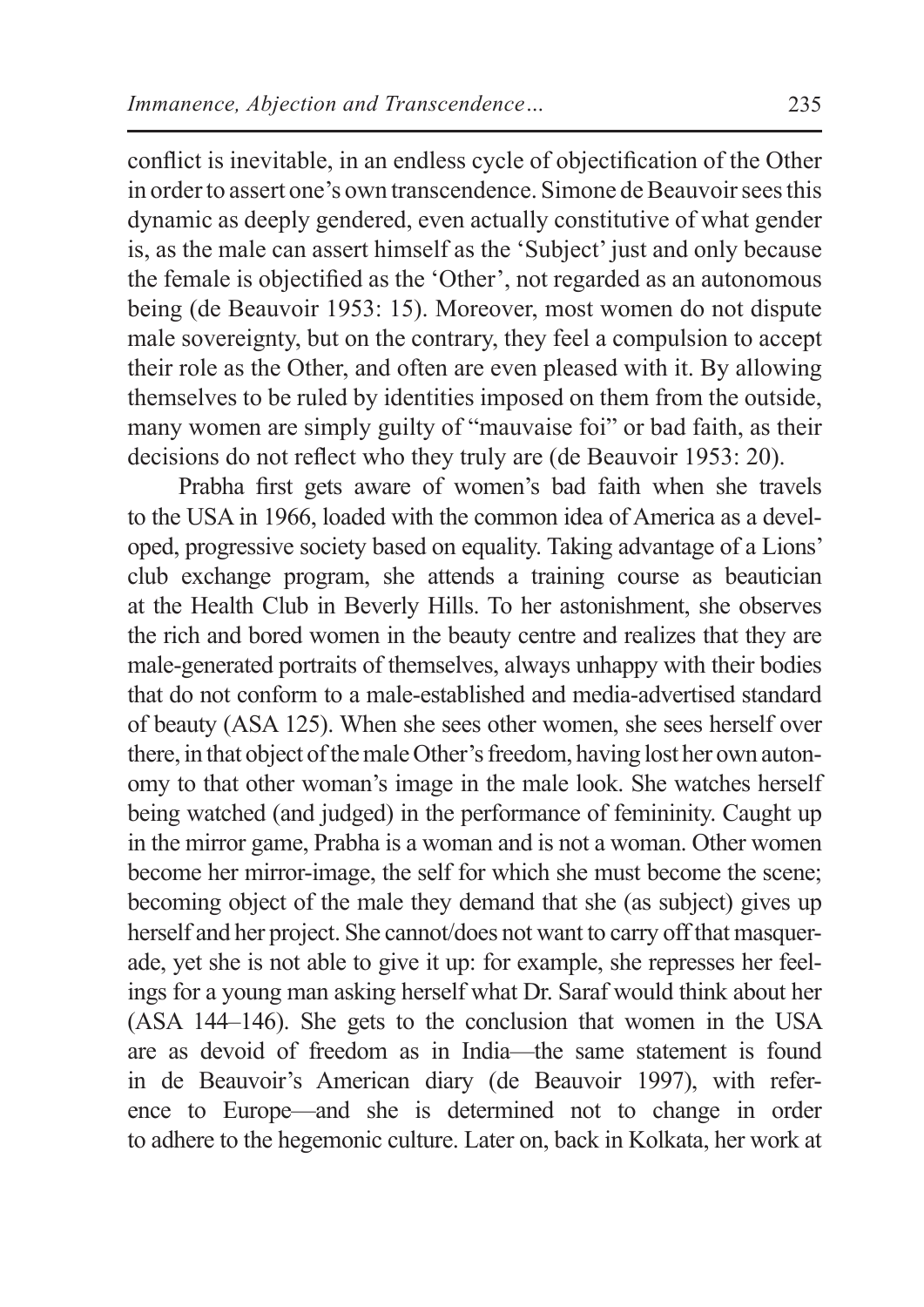conflict is inevitable, in an endless cycle of objectification of the Other in order to assert one's own transcendence. Simone de Beauvoir sees this dynamic as deeply gendered, even actually constitutive of what gender is, as the male can assert himself as the 'Subject' just and only because the female is objectified as the 'Other', not regarded as an autonomous being (de Beauvoir 1953: 15). Moreover, most women do not dispute male sovereignty, but on the contrary, they feel a compulsion to accept their role as the Other, and often are even pleased with it. By allowing themselves to be ruled by identities imposed on them from the outside, many women are simply guilty of "mauvaise foi" or bad faith, as their decisions do not reflect who they truly are (de Beauvoir 1953: 20).

Prabha first gets aware of women's bad faith when she travels to the USA in 1966, loaded with the common idea of America as a developed, progressive society based on equality. Taking advantage of a Lions' club exchange program, she attends a training course as beautician at the Health Club in Beverly Hills. To her astonishment, she observes the rich and bored women in the beauty centre and realizes that they are male-generated portraits of themselves, always unhappy with their bodies that do not conform to a male-established and media-advertised standard of beauty (ASA 125). When she sees other women, she sees herself over there, in that object of the male Other's freedom, having lost her own autonomy to that other woman's image in the male look. She watches herself being watched (and judged) in the performance of femininity. Caught up in the mirror game, Prabha is a woman and is not a woman. Other women become her mirror-image, the self for which she must become the scene; becoming object of the male they demand that she (as subject) gives up herself and her project. She cannot/does not want to carry off that masquerade, yet she is not able to give it up: for example, she represses her feelings for a young man asking herself what Dr. Saraf would think about her (ASA 144–146). She gets to the conclusion that women in the USA are as devoid of freedom as in India—the same statement is found in de Beauvoir's American diary (de Beauvoir 1997), with reference to Europe—and she is determined not to change in order to adhere to the hegemonic culture. Later on, back in Kolkata, her work at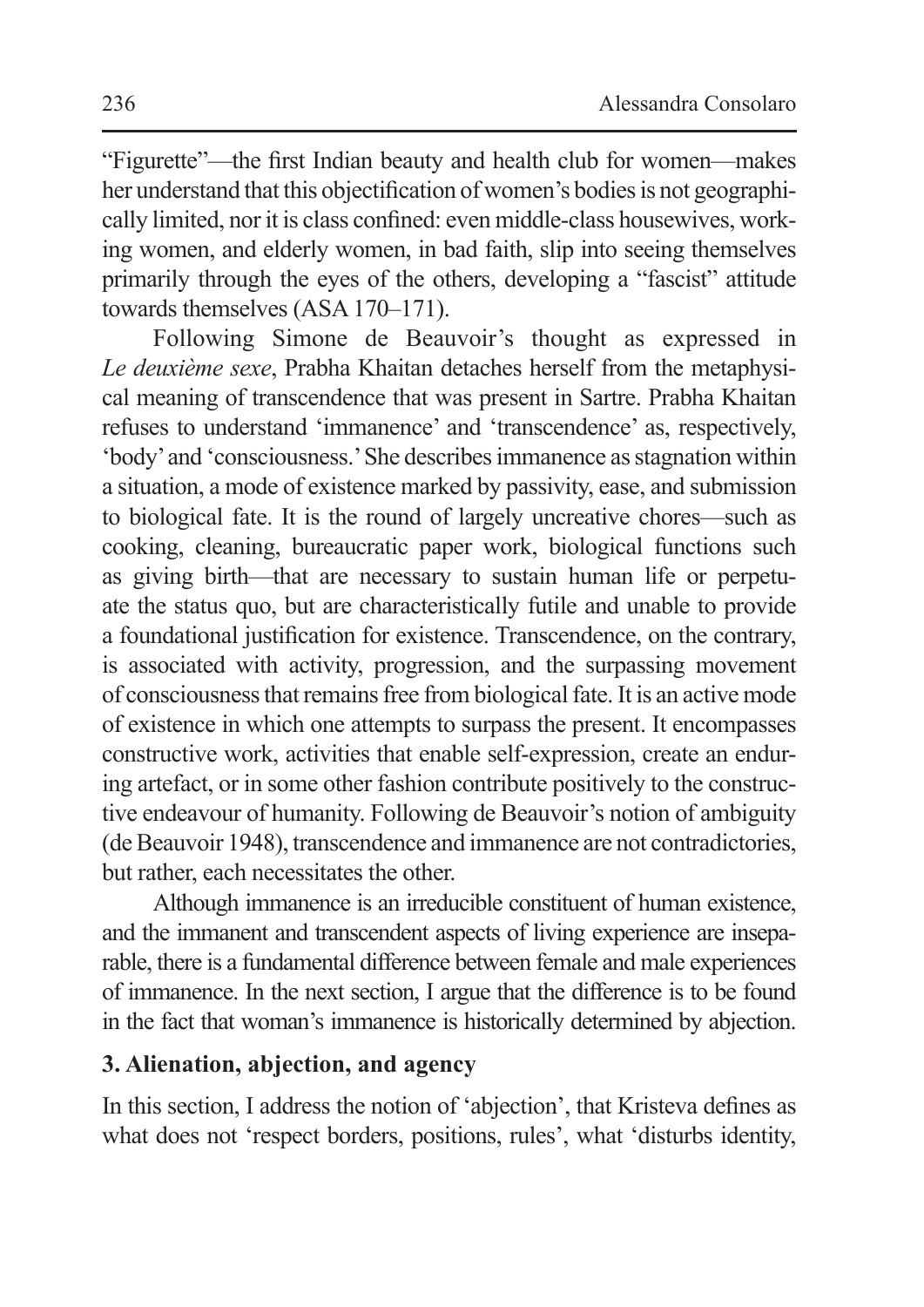"Figurette"—the first Indian beauty and health club for women—makes her understand that this objectification of women's bodies is not geographically limited, nor it is class confined: even middle-class housewives, working women, and elderly women, in bad faith, slip into seeing themselves primarily through the eyes of the others, developing a "fascist" attitude towards themselves (ASA 170–171).

Following Simone de Beauvoir's thought as expressed in *Le deuxième sexe*, Prabha Khaitan detaches herself from the metaphysical meaning of transcendence that was present in Sartre. Prabha Khaitan refuses to understand 'immanence' and 'transcendence' as, respectively, 'body' and 'consciousness.' She describes immanence as stagnation within a situation, a mode of existence marked by passivity, ease, and submission to biological fate. It is the round of largely uncreative chores—such as cooking, cleaning, bureaucratic paper work, biological functions such as giving birth—that are necessary to sustain human life or perpetuate the status quo, but are characteristically futile and unable to provide a foundational justification for existence. Transcendence, on the contrary, is associated with activity, progression, and the surpassing movement of consciousness that remains free from biological fate. It is an active mode of existence in which one attempts to surpass the present. It encompasses constructive work, activities that enable self-expression, create an enduring artefact, or in some other fashion contribute positively to the constructive endeavour of humanity. Following de Beauvoir's notion of ambiguity (de Beauvoir 1948), transcendence and immanence are not contradictories, but rather, each necessitates the other.

Although immanence is an irreducible constituent of human existence, and the immanent and transcendent aspects of living experience are inseparable, there is a fundamental difference between female and male experiences of immanence. In the next section, I argue that the difference is to be found in the fact that woman's immanence is historically determined by abjection.

### **3. Alienation, abjection, and agency**

In this section, I address the notion of 'abjection', that Kristeva defines as what does not 'respect borders, positions, rules', what 'disturbs identity,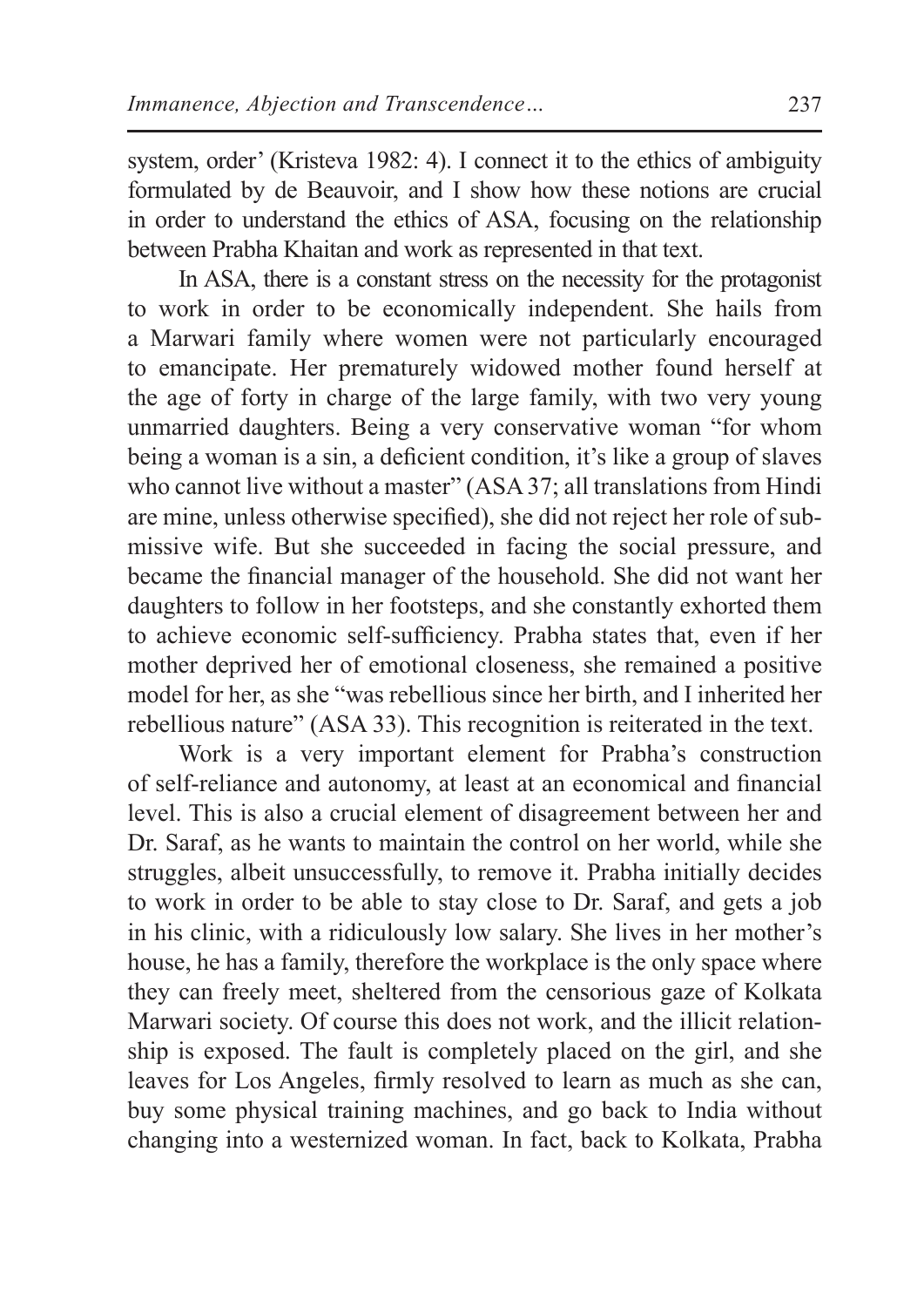system, order' (Kristeva 1982: 4). I connect it to the ethics of ambiguity formulated by de Beauvoir, and I show how these notions are crucial in order to understand the ethics of ASA, focusing on the relationship between Prabha Khaitan and work as represented in that text.

In ASA, there is a constant stress on the necessity for the protagonist to work in order to be economically independent. She hails from a Marwari family where women were not particularly encouraged to emancipate. Her prematurely widowed mother found herself at the age of forty in charge of the large family, with two very young unmarried daughters. Being a very conservative woman "for whom being a woman is a sin, a deficient condition, it's like a group of slaves who cannot live without a master" (ASA 37; all translations from Hindi are mine, unless otherwise specified), she did not reject her role of submissive wife. But she succeeded in facing the social pressure, and became the financial manager of the household. She did not want her daughters to follow in her footsteps, and she constantly exhorted them to achieve economic self-sufficiency. Prabha states that, even if her mother deprived her of emotional closeness, she remained a positive model for her, as she "was rebellious since her birth, and I inherited her rebellious nature" (ASA 33). This recognition is reiterated in the text.

Work is a very important element for Prabha's construction of self-reliance and autonomy, at least at an economical and financial level. This is also a crucial element of disagreement between her and Dr. Saraf, as he wants to maintain the control on her world, while she struggles, albeit unsuccessfully, to remove it. Prabha initially decides to work in order to be able to stay close to Dr. Saraf, and gets a job in his clinic, with a ridiculously low salary. She lives in her mother's house, he has a family, therefore the workplace is the only space where they can freely meet, sheltered from the censorious gaze of Kolkata Marwari society. Of course this does not work, and the illicit relationship is exposed. The fault is completely placed on the girl, and she leaves for Los Angeles, firmly resolved to learn as much as she can, buy some physical training machines, and go back to India without changing into a westernized woman. In fact, back to Kolkata, Prabha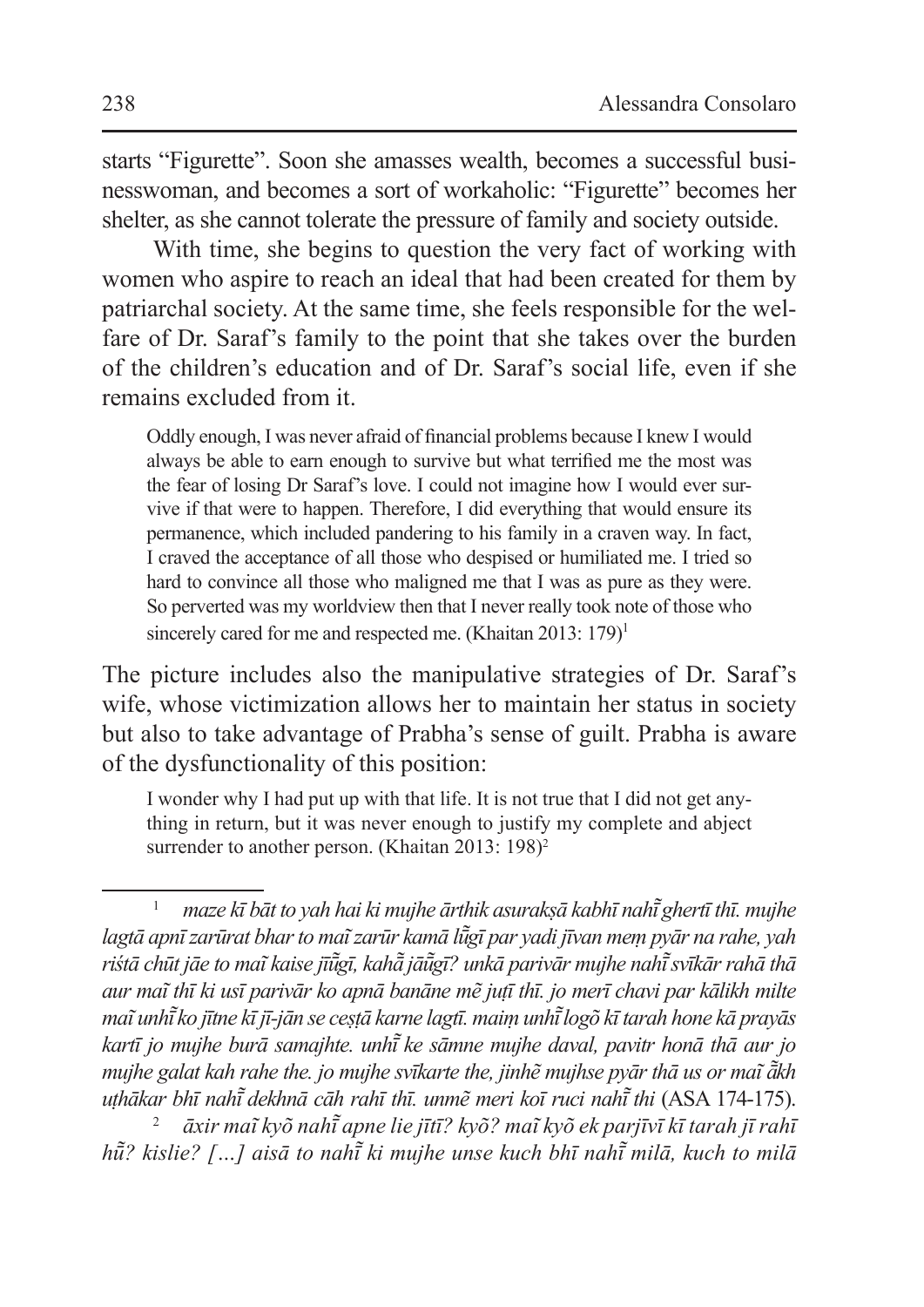starts "Figurette". Soon she amasses wealth, becomes a successful businesswoman, and becomes a sort of workaholic: "Figurette" becomes her shelter, as she cannot tolerate the pressure of family and society outside.

With time, she begins to question the very fact of working with women who aspire to reach an ideal that had been created for them by patriarchal society. At the same time, she feels responsible for the welfare of Dr. Saraf's family to the point that she takes over the burden of the children's education and of Dr. Saraf's social life, even if she remains excluded from it.

Oddly enough, I was never afraid of financial problems because I knew I would always be able to earn enough to survive but what terrified me the most was the fear of losing Dr Saraf's love. I could not imagine how I would ever survive if that were to happen. Therefore, I did everything that would ensure its permanence, which included pandering to his family in a craven way. In fact, I craved the acceptance of all those who despised or humiliated me. I tried so hard to convince all those who maligned me that I was as pure as they were. So perverted was my worldview then that I never really took note of those who sincerely cared for me and respected me. (Khaitan 2013:  $179$ )<sup>1</sup>

The picture includes also the manipulative strategies of Dr. Saraf's wife, whose victimization allows her to maintain her status in society but also to take advantage of Prabha's sense of guilt. Prabha is aware of the dysfunctionality of this position:

I wonder why I had put up with that life. It is not true that I did not get anything in return, but it was never enough to justify my complete and abject surrender to another person. (Khaitan 2013: 198)<sup>2</sup>

<sup>2</sup> *āxir maĩ kyõ nahī apne lie jītī? kyõ? maĩ kyõ ek parjīvī kī tarah jī rahī ̃ hū̃ ? kislie? […] aisā to nahī ki mujhe unse kuch bhī nahī ̃ milā, kuch to ̃ milā* 

<sup>1</sup> *maze kī bāt to yah hai ki mujhe ārthik asurakṣā kabhī nahī ghertī thī. mujhe ̃ lagtā apnī zarūrat bhar to maĩ zarūr kamā lūgī par yadi jīvan meṃ pyār na rahe, yah ̃ riśtā chūt jāe to maĩ kaise jīūgī, kahā ̃ jāū ̃ gī? unkā parivār mujhe nahī ̃ svīkār rahā thā ̃ aur maĩ thī ki usī parivār ko apnā banāne mẽ juṭī thī. jo merī chavi par kālikh milte maĩ unhī ko jītne kī jī-jān se ceṣṭā karne lagtī. maiṃ unhī ̃ logõ kī tarah hone kā prayās ̃ kartī jo mujhe burā samajhte. unhī ke sāmne mujhe daval, pavitr honā thā aur jo ̃ mujhe galat kah rahe the. jo mujhe svīkarte the, jinhẽ mujhse pyār thā us or maĩ ākh ̃ uṭhākar bhī nahī dekhnā cāh rahī thī. unmẽ meri koī ruci nahī ̃ thi ̃* (ASA 174-175).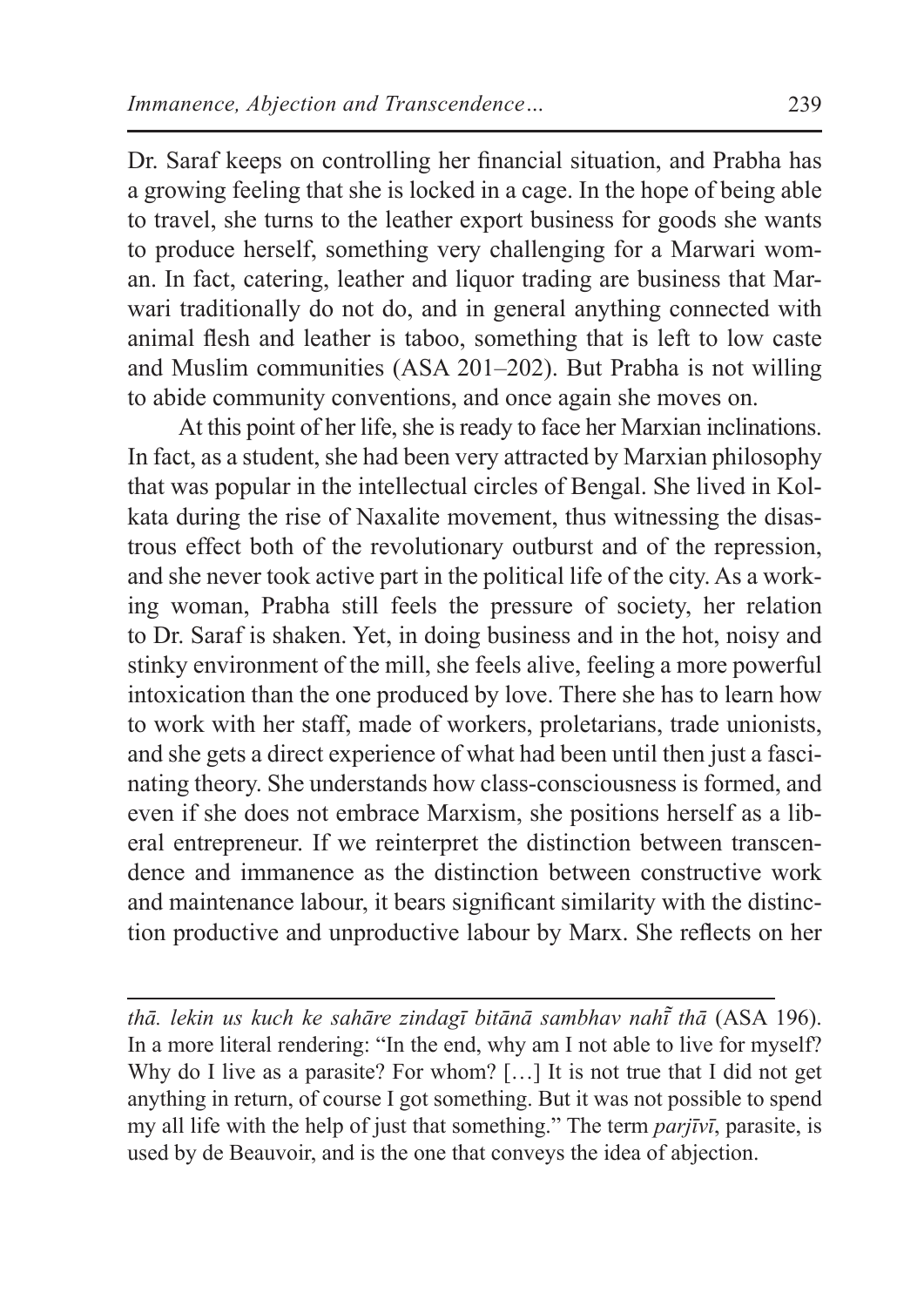Dr. Saraf keeps on controlling her financial situation, and Prabha has a growing feeling that she is locked in a cage. In the hope of being able to travel, she turns to the leather export business for goods she wants to produce herself, something very challenging for a Marwari woman. In fact, catering, leather and liquor trading are business that Marwari traditionally do not do, and in general anything connected with animal flesh and leather is taboo, something that is left to low caste and Muslim communities (ASA 201–202). But Prabha is not willing to abide community conventions, and once again she moves on.

At this point of her life, she is ready to face her Marxian inclinations. In fact, as a student, she had been very attracted by Marxian philosophy that was popular in the intellectual circles of Bengal. She lived in Kolkata during the rise of Naxalite movement, thus witnessing the disastrous effect both of the revolutionary outburst and of the repression, and she never took active part in the political life of the city. As a working woman, Prabha still feels the pressure of society, her relation to Dr. Saraf is shaken. Yet, in doing business and in the hot, noisy and stinky environment of the mill, she feels alive, feeling a more powerful intoxication than the one produced by love. There she has to learn how to work with her staff, made of workers, proletarians, trade unionists, and she gets a direct experience of what had been until then just a fascinating theory. She understands how class-consciousness is formed, and even if she does not embrace Marxism, she positions herself as a liberal entrepreneur. If we reinterpret the distinction between transcendence and immanence as the distinction between constructive work and maintenance labour, it bears significant similarity with the distinction productive and unproductive labour by Marx. She reflects on her

*thā. lekin us kuch ke sahāre zindagī bitānā sambhav nahī thā ̃* (ASA 196). In a more literal rendering: "In the end, why am I not able to live for myself? Why do I live as a parasite? For whom? [...] It is not true that I did not get anything in return, of course I got something. But it was not possible to spend my all life with the help of just that something." The term *parjīvī*, parasite, is used by de Beauvoir, and is the one that conveys the idea of abjection.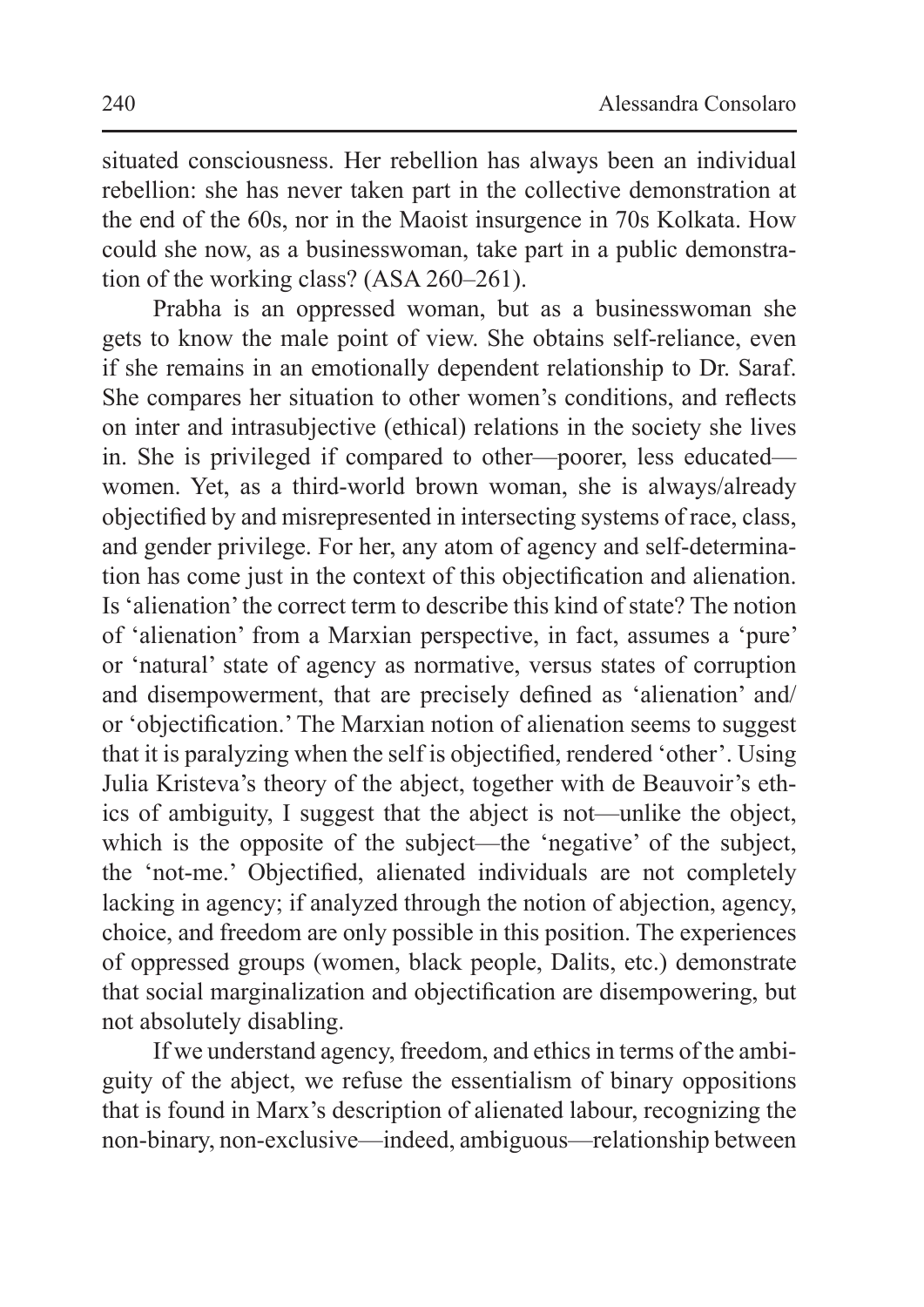situated consciousness. Her rebellion has always been an individual rebellion: she has never taken part in the collective demonstration at the end of the 60s, nor in the Maoist insurgence in 70s Kolkata. How could she now, as a businesswoman, take part in a public demonstration of the working class? (ASA 260–261).

Prabha is an oppressed woman, but as a businesswoman she gets to know the male point of view. She obtains self-reliance, even if she remains in an emotionally dependent relationship to Dr. Saraf. She compares her situation to other women's conditions, and reflects on inter and intrasubjective (ethical) relations in the society she lives in. She is privileged if compared to other—poorer, less educated women. Yet, as a third-world brown woman, she is always/already objectified by and misrepresented in intersecting systems of race, class, and gender privilege. For her, any atom of agency and self-determination has come just in the context of this objectification and alienation. Is 'alienation'the correct term to describe this kind of state? The notion of 'alienation' from a Marxian perspective, in fact, assumes a 'pure' or 'natural' state of agency as normative, versus states of corruption and disempowerment, that are precisely defined as 'alienation' and/ or 'objectification.' The Marxian notion of alienation seems to suggest that it is paralyzing when the self is objectified, rendered 'other'. Using Julia Kristeva's theory of the abject, together with de Beauvoir's ethics of ambiguity, I suggest that the abject is not—unlike the object, which is the opposite of the subject—the 'negative' of the subject, the 'not-me.' Objectified, alienated individuals are not completely lacking in agency; if analyzed through the notion of abjection, agency, choice, and freedom are only possible in this position. The experiences of oppressed groups (women, black people, Dalits, etc.) demonstrate that social marginalization and objectification are disempowering, but not absolutely disabling.

If we understand agency, freedom, and ethics in terms of the ambiguity of the abject, we refuse the essentialism of binary oppositions that is found in Marx's description of alienated labour, recognizing the non-binary, non-exclusive—indeed, ambiguous—relationship between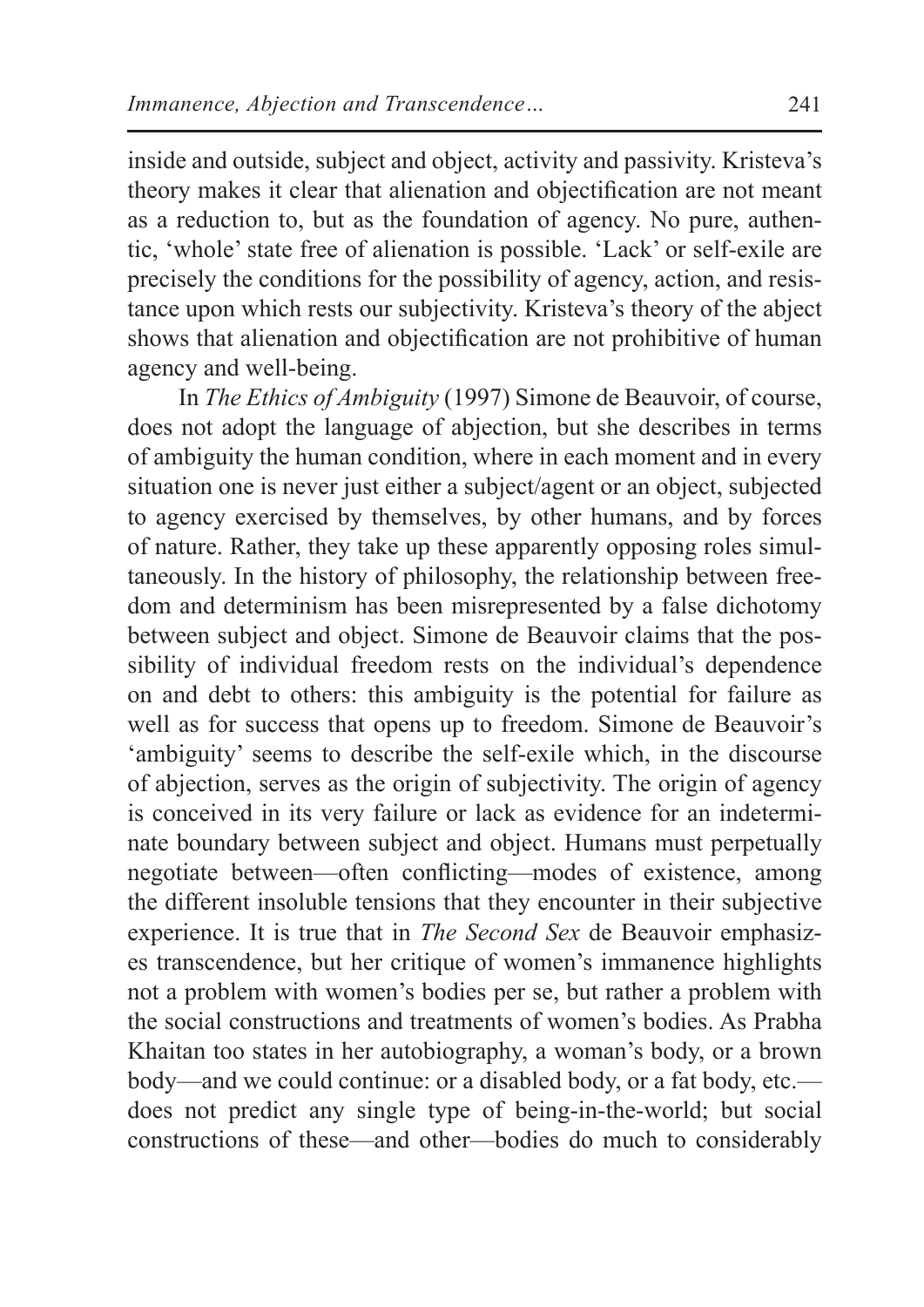inside and outside, subject and object, activity and passivity. Kristeva's theory makes it clear that alienation and objectification are not meant as a reduction to, but as the foundation of agency. No pure, authentic, 'whole' state free of alienation is possible. 'Lack' or self-exile are precisely the conditions for the possibility of agency, action, and resistance upon which rests our subjectivity. Kristeva's theory of the abject shows that alienation and objectification are not prohibitive of human agency and well-being.

In *The Ethics of Ambiguity* (1997) Simone de Beauvoir, of course, does not adopt the language of abjection, but she describes in terms of ambiguity the human condition, where in each moment and in every situation one is never just either a subject/agent or an object, subjected to agency exercised by themselves, by other humans, and by forces of nature. Rather, they take up these apparently opposing roles simultaneously. In the history of philosophy, the relationship between freedom and determinism has been misrepresented by a false dichotomy between subject and object. Simone de Beauvoir claims that the possibility of individual freedom rests on the individual's dependence on and debt to others: this ambiguity is the potential for failure as well as for success that opens up to freedom. Simone de Beauvoir's 'ambiguity' seems to describe the self-exile which, in the discourse of abjection, serves as the origin of subjectivity. The origin of agency is conceived in its very failure or lack as evidence for an indeterminate boundary between subject and object. Humans must perpetually negotiate between—often conflicting—modes of existence, among the different insoluble tensions that they encounter in their subjective experience. It is true that in *The Second Sex* de Beauvoir emphasizes transcendence, but her critique of women's immanence highlights not a problem with women's bodies per se, but rather a problem with the social constructions and treatments of women's bodies. As Prabha Khaitan too states in her autobiography, a woman's body, or a brown body—and we could continue: or a disabled body, or a fat body, etc. does not predict any single type of being-in-the-world; but social constructions of these—and other—bodies do much to considerably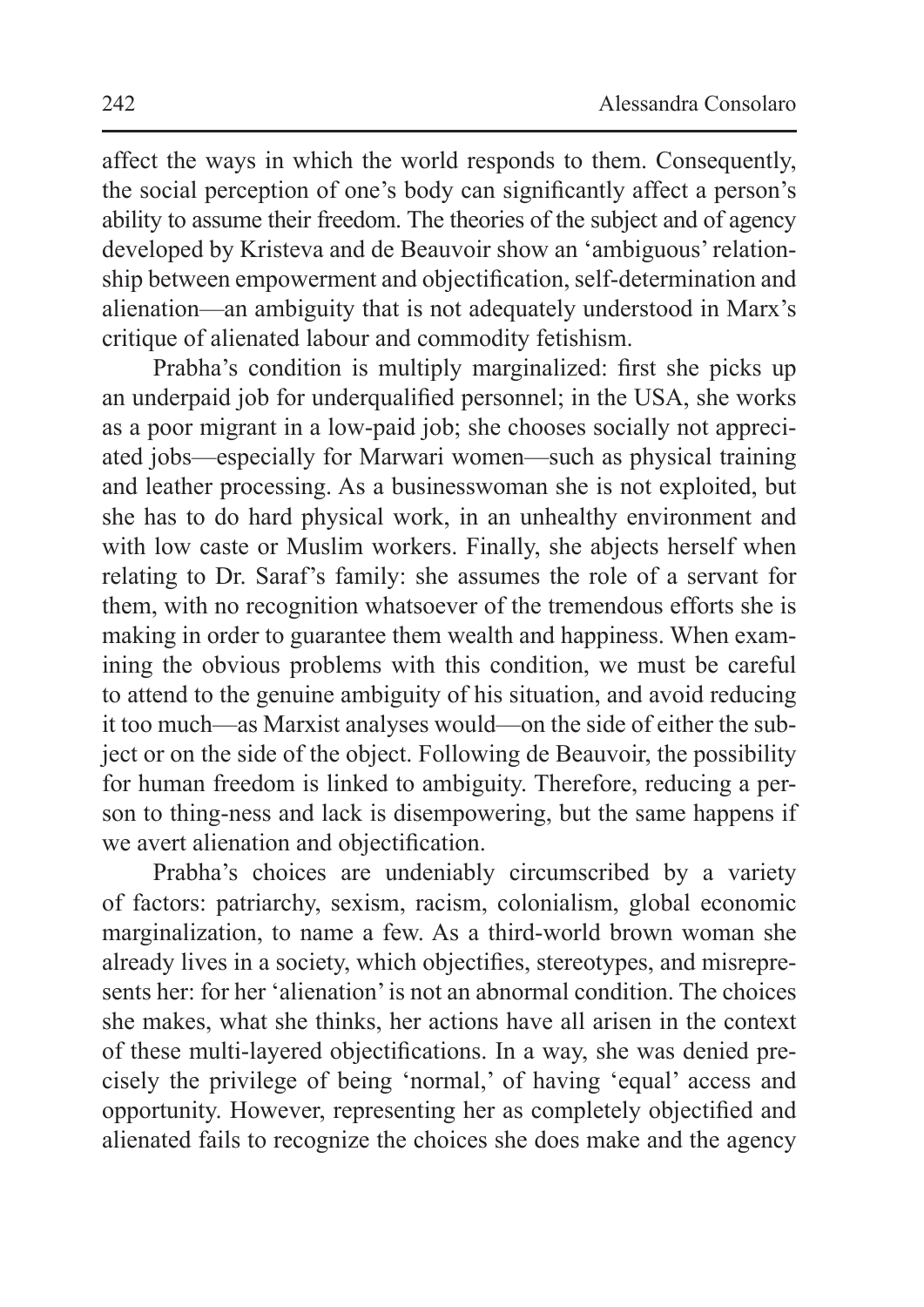affect the ways in which the world responds to them. Consequently, the social perception of one's body can significantly affect a person's ability to assume their freedom. The theories of the subject and of agency developed by Kristeva and de Beauvoir show an 'ambiguous'relationship between empowerment and objectification, self-determination and alienation—an ambiguity that is not adequately understood in Marx's critique of alienated labour and commodity fetishism.

Prabha's condition is multiply marginalized: first she picks up an underpaid job for underqualified personnel; in the USA, she works as a poor migrant in a low-paid job; she chooses socially not appreciated jobs—especially for Marwari women—such as physical training and leather processing. As a businesswoman she is not exploited, but she has to do hard physical work, in an unhealthy environment and with low caste or Muslim workers. Finally, she abjects herself when relating to Dr. Saraf's family: she assumes the role of a servant for them, with no recognition whatsoever of the tremendous efforts she is making in order to guarantee them wealth and happiness. When examining the obvious problems with this condition, we must be careful to attend to the genuine ambiguity of his situation, and avoid reducing it too much—as Marxist analyses would—on the side of either the subject or on the side of the object. Following de Beauvoir, the possibility for human freedom is linked to ambiguity. Therefore, reducing a person to thing-ness and lack is disempowering, but the same happens if we avert alienation and objectification.

Prabha's choices are undeniably circumscribed by a variety of factors: patriarchy, sexism, racism, colonialism, global economic marginalization, to name a few. As a third-world brown woman she already lives in a society, which objectifies, stereotypes, and misrepresents her: for her 'alienation'is not an abnormal condition. The choices she makes, what she thinks, her actions have all arisen in the context of these multi-layered objectifications. In a way, she was denied precisely the privilege of being 'normal,' of having 'equal' access and opportunity. However, representing her as completely objectified and alienated fails to recognize the choices she does make and the agency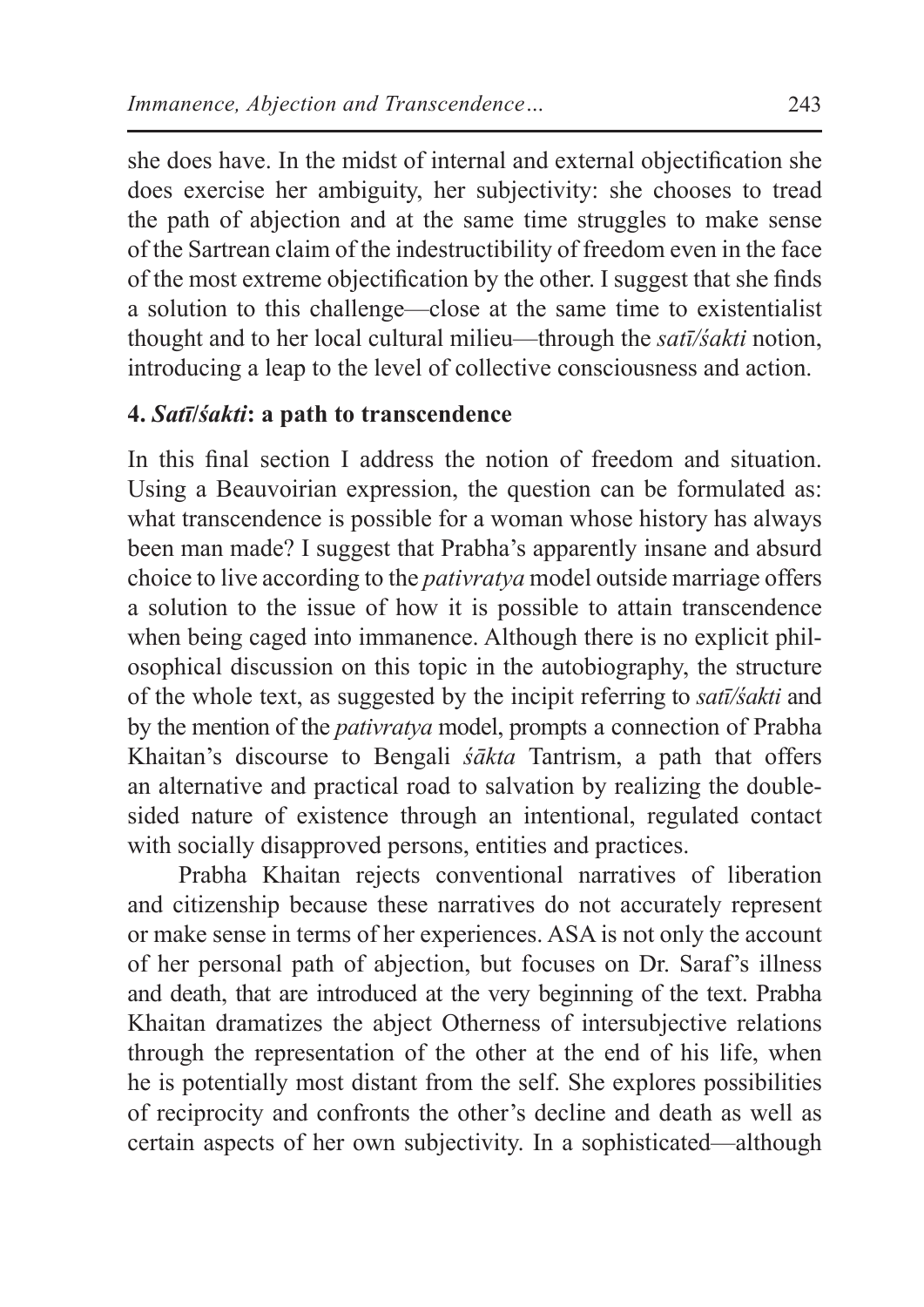she does have. In the midst of internal and external objectification she does exercise her ambiguity, her subjectivity: she chooses to tread the path of abjection and at the same time struggles to make sense of the Sartrean claim of the indestructibility of freedom even in the face of the most extreme objectification by the other. I suggest that she finds a solution to this challenge—close at the same time to existentialist thought and to her local cultural milieu—through the *satī/śakti* notion, introducing a leap to the level of collective consciousness and action.

## **4.** *Satī***/***śakti***: a path to transcendence**

In this final section I address the notion of freedom and situation. Using a Beauvoirian expression, the question can be formulated as: what transcendence is possible for a woman whose history has always been man made? I suggest that Prabha's apparently insane and absurd choice to live according to the *pativratya* model outside marriage offers a solution to the issue of how it is possible to attain transcendence when being caged into immanence. Although there is no explicit philosophical discussion on this topic in the autobiography, the structure of the whole text, as suggested by the incipit referring to *satī/śakti* and by the mention of the *pativratya* model, prompts a connection of Prabha Khaitan's discourse to Bengali *śākta* Tantrism, a path that offers an alternative and practical road to salvation by realizing the doublesided nature of existence through an intentional, regulated contact with socially disapproved persons, entities and practices.

Prabha Khaitan rejects conventional narratives of liberation and citizenship because these narratives do not accurately represent or make sense in terms of her experiences. ASA is not only the account of her personal path of abjection, but focuses on Dr. Saraf's illness and death, that are introduced at the very beginning of the text. Prabha Khaitan dramatizes the abject Otherness of intersubjective relations through the representation of the other at the end of his life, when he is potentially most distant from the self. She explores possibilities of reciprocity and confronts the other's decline and death as well as certain aspects of her own subjectivity. In a sophisticated—although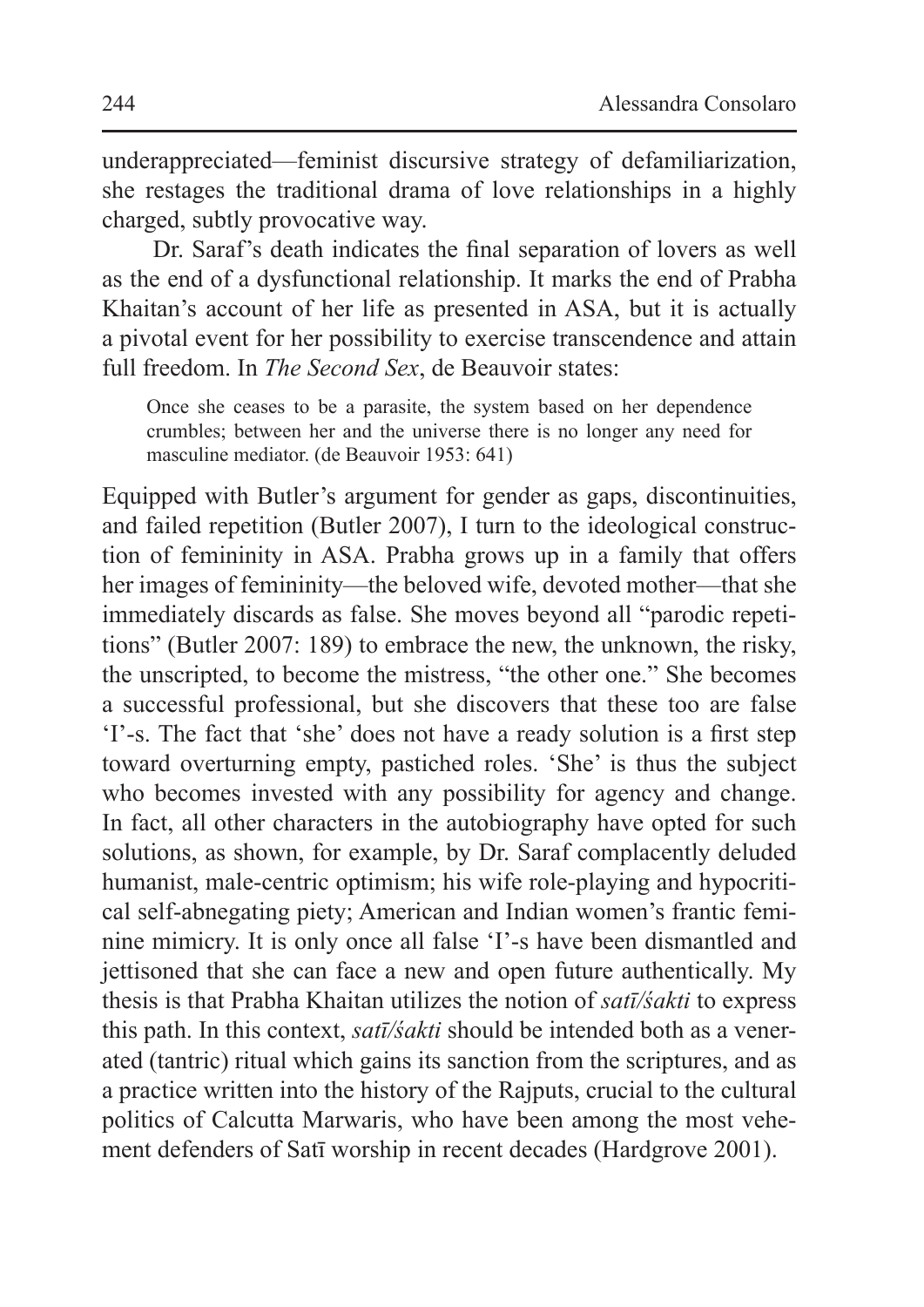underappreciated—feminist discursive strategy of defamiliarization, she restages the traditional drama of love relationships in a highly charged, subtly provocative way.

Dr. Saraf's death indicates the final separation of lovers as well as the end of a dysfunctional relationship. It marks the end of Prabha Khaitan's account of her life as presented in ASA, but it is actually a pivotal event for her possibility to exercise transcendence and attain full freedom. In *The Second Sex*, de Beauvoir states:

Once she ceases to be a parasite, the system based on her dependence crumbles; between her and the universe there is no longer any need for masculine mediator. (de Beauvoir 1953: 641)

Equipped with Butler's argument for gender as gaps, discontinuities, and failed repetition (Butler 2007), I turn to the ideological construction of femininity in ASA. Prabha grows up in a family that offers her images of femininity—the beloved wife, devoted mother—that she immediately discards as false. She moves beyond all "parodic repetitions" (Butler 2007: 189) to embrace the new, the unknown, the risky, the unscripted, to become the mistress, "the other one." She becomes a successful professional, but she discovers that these too are false 'I'-s. The fact that 'she' does not have a ready solution is a first step toward overturning empty, pastiched roles. 'She' is thus the subject who becomes invested with any possibility for agency and change. In fact, all other characters in the autobiography have opted for such solutions, as shown, for example, by Dr. Saraf complacently deluded humanist, male-centric optimism; his wife role-playing and hypocritical self-abnegating piety; American and Indian women's frantic feminine mimicry. It is only once all false 'I'-s have been dismantled and jettisoned that she can face a new and open future authentically. My thesis is that Prabha Khaitan utilizes the notion of *satī/śakti* to express this path. In this context, *satī/śakti* should be intended both as a venerated (tantric) ritual which gains its sanction from the scriptures, and as a practice written into the history of the Rajputs, crucial to the cultural politics of Calcutta Marwaris, who have been among the most vehement defenders of Satī worship in recent decades (Hardgrove 2001).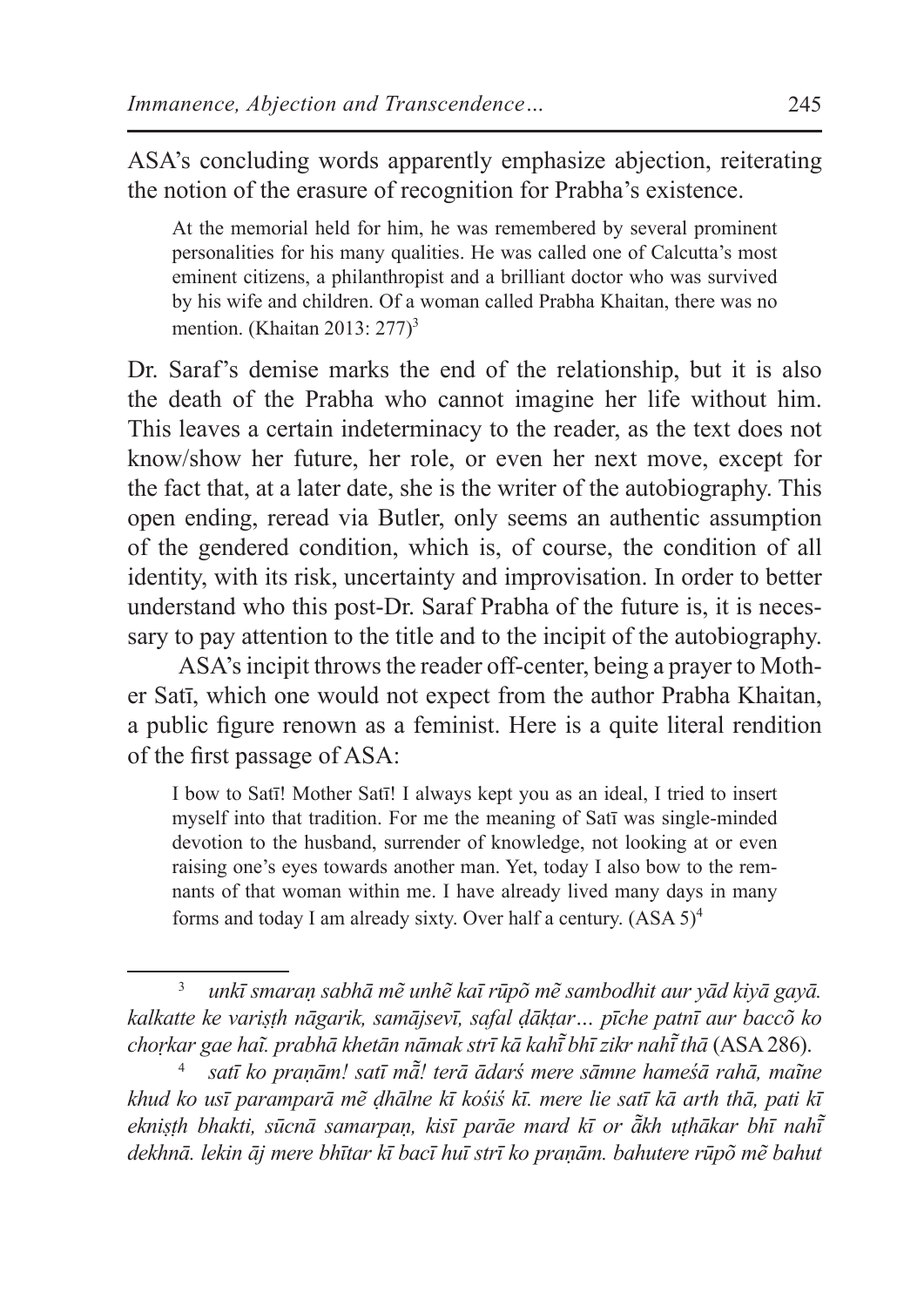ASA's concluding words apparently emphasize abjection, reiterating the notion of the erasure of recognition for Prabha's existence.

At the memorial held for him, he was remembered by several prominent personalities for his many qualities. He was called one of Calcutta's most eminent citizens, a philanthropist and a brilliant doctor who was survived by his wife and children. Of a woman called Prabha Khaitan, there was no mention. (Khaitan 2013:  $277$ <sup>3</sup>

Dr. Saraf's demise marks the end of the relationship, but it is also the death of the Prabha who cannot imagine her life without him. This leaves a certain indeterminacy to the reader, as the text does not know/show her future, her role, or even her next move, except for the fact that, at a later date, she is the writer of the autobiography. This open ending, reread via Butler, only seems an authentic assumption of the gendered condition, which is, of course, the condition of all identity, with its risk, uncertainty and improvisation. In order to better understand who this post-Dr. Saraf Prabha of the future is, it is necessary to pay attention to the title and to the incipit of the autobiography.

ASA's incipit throws the reader off-center, being a prayer to Mother Satī, which one would not expect from the author Prabha Khaitan, a public figure renown as a feminist. Here is a quite literal rendition of the first passage of ASA:

I bow to Satī! Mother Satī! I always kept you as an ideal, I tried to insert myself into that tradition. For me the meaning of Satī was single-minded devotion to the husband, surrender of knowledge, not looking at or even raising one's eyes towards another man. Yet, today I also bow to the remnants of that woman within me. I have already lived many days in many forms and today I am already sixty. Over half a century. (ASA 5)<sup>4</sup>

<sup>3</sup> *unkī smaraṇ sabhā mẽ unhẽ kaī rūpõ mẽ sambodhit aur yād kiyā gayā. kalkatte ke variṣṭh nāgarik, samājsevī, safal ḍākṭar… pīche patnī aur baccõ ko choṛkar gae haĩ. prabhā khetān nāmak strī kā kahī bhī zikr nahī ̃ thā ̃* (ASA 286).

<sup>4</sup> *satī ko praṇām! satī mā! terā ādarś mere sāmne hameśā rahā, maĩne ̃ khud ko usī paramparā mẽ ḍhālne kī kośiś kī. mere lie satī kā arth thā, pati kī ekniṣṭh bhakti, sūcnā samarpaṇ, kisī parāe mard kī or ākh uṭhākar bhī nahī ̃ ̃ dekhnā. lekin āj mere bhītar kī bacī huī strī ko praṇām. bahutere rūpõ mẽ bahut*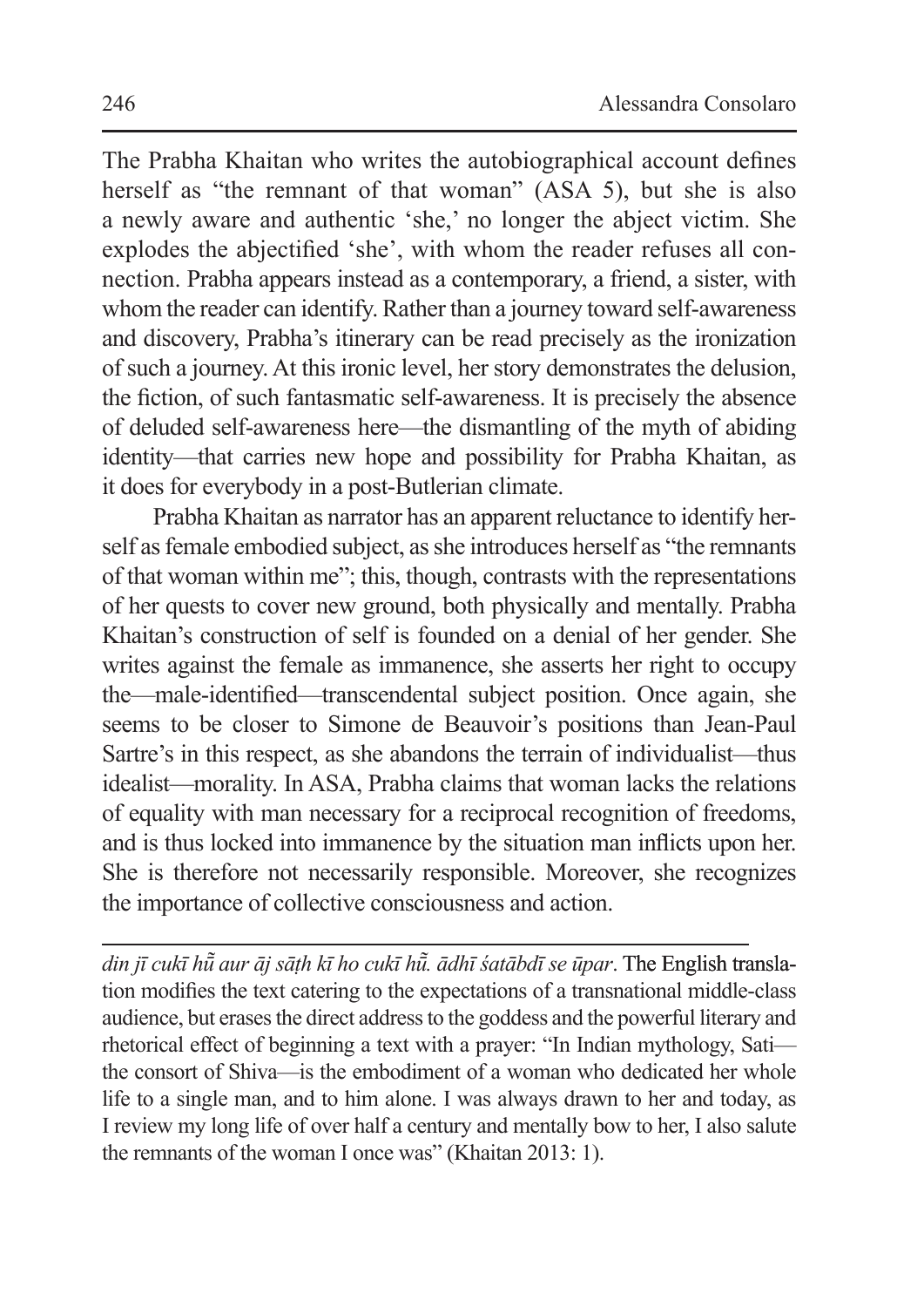The Prabha Khaitan who writes the autobiographical account defines herself as "the remnant of that woman" (ASA 5), but she is also a newly aware and authentic 'she,' no longer the abject victim. She explodes the abjectified 'she', with whom the reader refuses all connection. Prabha appears instead as a contemporary, a friend, a sister, with whom the reader can identify. Rather than a journey toward self-awareness and discovery, Prabha's itinerary can be read precisely as the ironization of such a journey. At this ironic level, her story demonstrates the delusion, the fiction, of such fantasmatic self-awareness. It is precisely the absence of deluded self-awareness here—the dismantling of the myth of abiding identity—that carries new hope and possibility for Prabha Khaitan, as it does for everybody in a post-Butlerian climate.

Prabha Khaitan as narrator has an apparent reluctance to identify herself as female embodied subject, as she introduces herself as "the remnants" of that woman within me"; this, though, contrasts with the representations of her quests to cover new ground, both physically and mentally. Prabha Khaitan's construction of self is founded on a denial of her gender. She writes against the female as immanence, she asserts her right to occupy the—male-identified—transcendental subject position. Once again, she seems to be closer to Simone de Beauvoir's positions than Jean-Paul Sartre's in this respect, as she abandons the terrain of individualist—thus idealist—morality. In ASA, Prabha claims that woman lacks the relations of equality with man necessary for a reciprocal recognition of freedoms, and is thus locked into immanence by the situation man inflicts upon her. She is therefore not necessarily responsible. Moreover, she recognizes the importance of collective consciousness and action.

*din jī cukī hū aur āj sāṭh kī ho cukī hū ̃ . ādhī śatābdī se ūpar ̃* . The English translation modifies the text catering to the expectations of a transnational middle-class audience, but erases the direct address to the goddess and the powerful literary and rhetorical effect of beginning a text with a prayer: "In Indian mythology, Sati the consort of Shiva—is the embodiment of a woman who dedicated her whole life to a single man, and to him alone. I was always drawn to her and today, as I review my long life of over half a century and mentally bow to her, I also salute the remnants of the woman I once was" (Khaitan 2013: 1).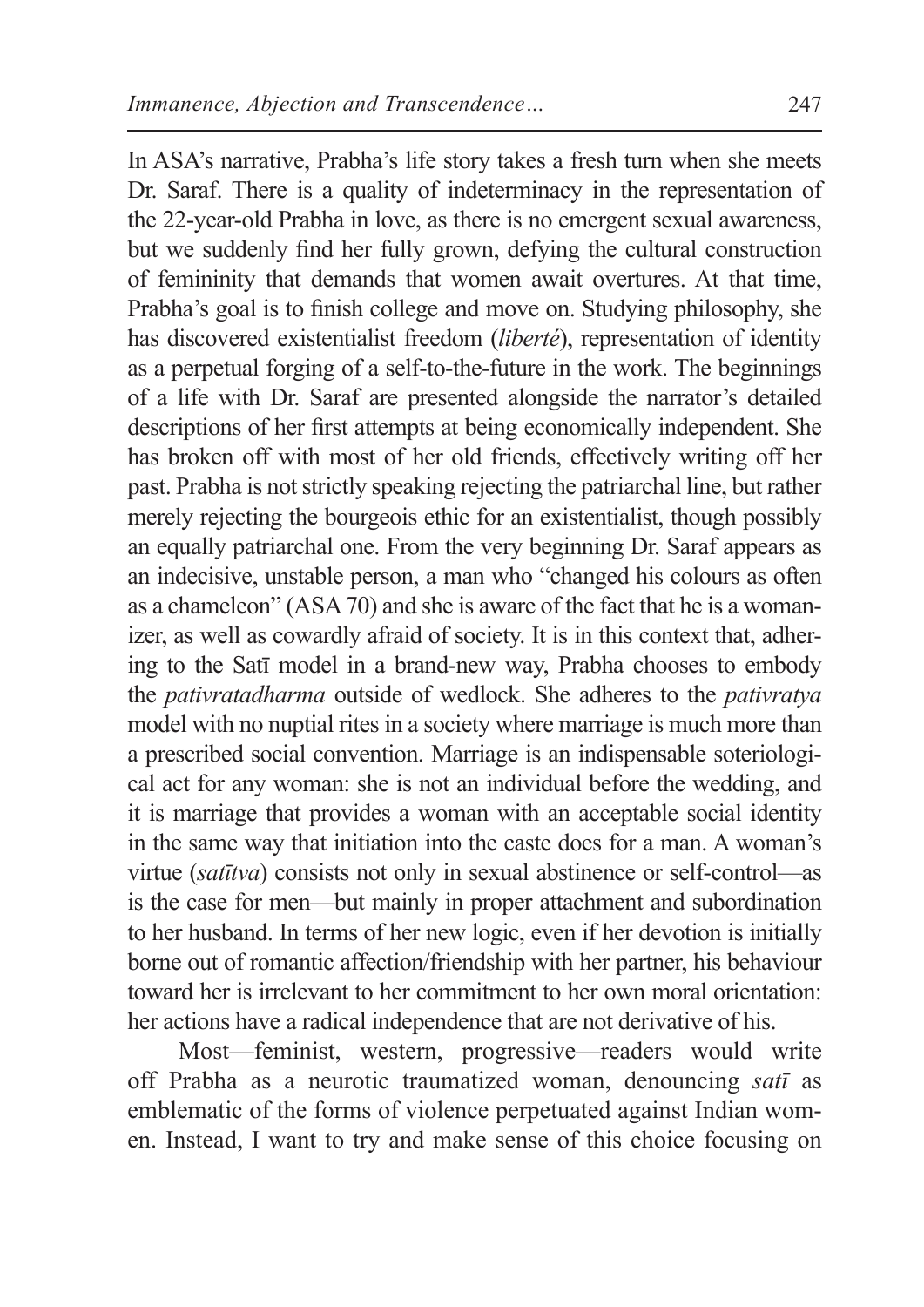In ASA's narrative, Prabha's life story takes a fresh turn when she meets Dr. Saraf. There is a quality of indeterminacy in the representation of the 22-year-old Prabha in love, as there is no emergent sexual awareness, but we suddenly find her fully grown, defying the cultural construction of femininity that demands that women await overtures. At that time, Prabha's goal is to finish college and move on. Studying philosophy, she has discovered existentialist freedom (*liberté*), representation of identity as a perpetual forging of a self-to-the-future in the work. The beginnings of a life with Dr. Saraf are presented alongside the narrator's detailed descriptions of her first attempts at being economically independent. She has broken off with most of her old friends, effectively writing off her past. Prabha is not strictly speaking rejecting the patriarchal line, but rather merely rejecting the bourgeois ethic for an existentialist, though possibly an equally patriarchal one. From the very beginning Dr. Saraf appears as an indecisive, unstable person, a man who "changed his colours as often as a chameleon" (ASA70) and she is aware of the fact that he is a womanizer, as well as cowardly afraid of society. It is in this context that, adhering to the Satī model in a brand-new way, Prabha chooses to embody the *pativratadharma* outside of wedlock. She adheres to the *pativratya*  model with no nuptial rites in a society where marriage is much more than a prescribed social convention. Marriage is an indispensable soteriological act for any woman: she is not an individual before the wedding, and it is marriage that provides a woman with an acceptable social identity in the same way that initiation into the caste does for a man. A woman's virtue (*satītva*) consists not only in sexual abstinence or self-control—as is the case for men—but mainly in proper attachment and subordination to her husband. In terms of her new logic, even if her devotion is initially borne out of romantic affection/friendship with her partner, his behaviour toward her is irrelevant to her commitment to her own moral orientation: her actions have a radical independence that are not derivative of his.

Most—feminist, western, progressive—readers would write off Prabha as a neurotic traumatized woman, denouncing *satī* as emblematic of the forms of violence perpetuated against Indian women. Instead, I want to try and make sense of this choice focusing on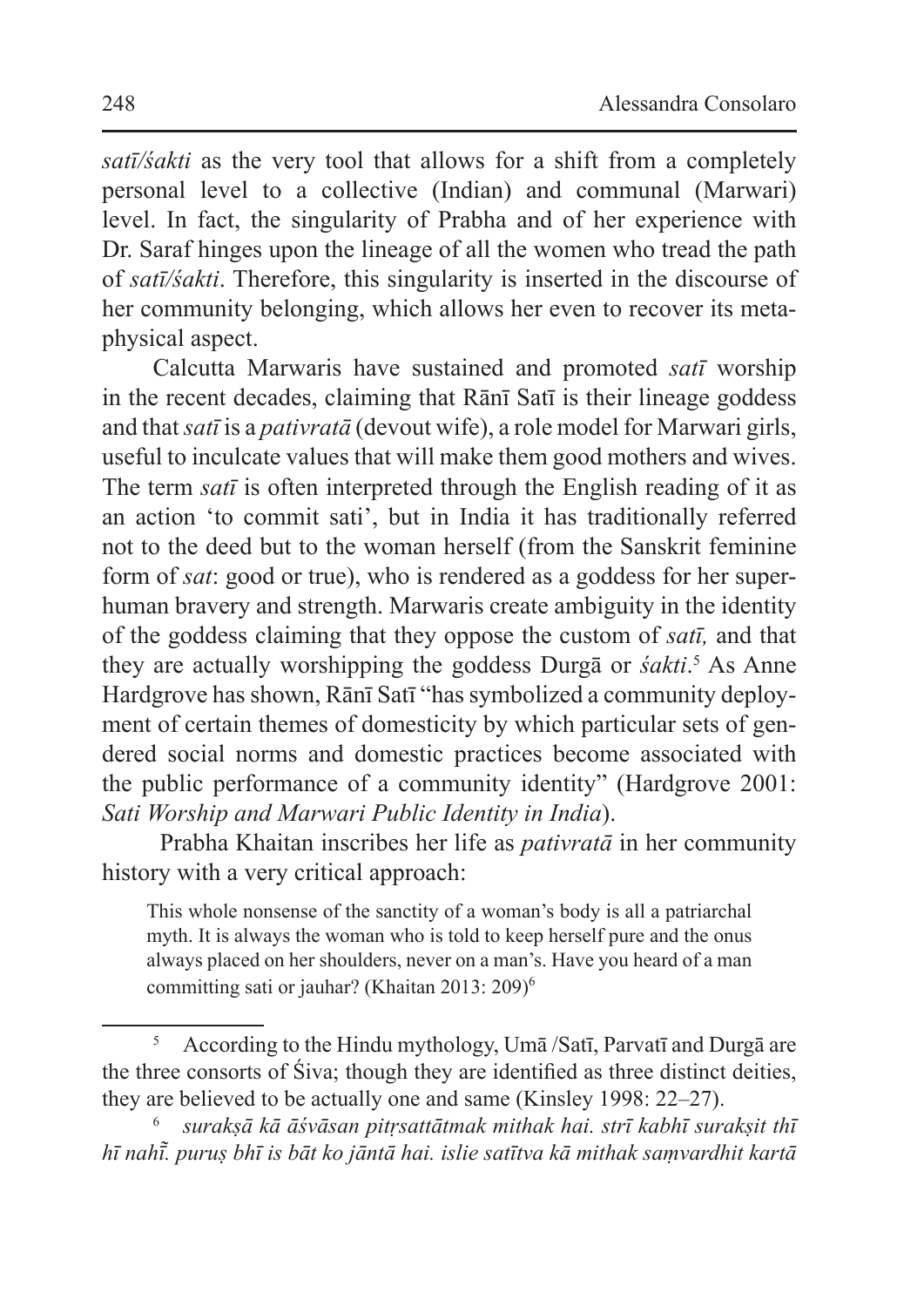*satī/śakti* as the very tool that allows for a shift from a completely personal level to a collective (Indian) and communal (Marwari) level. In fact, the singularity of Prabha and of her experience with Dr. Saraf hinges upon the lineage of all the women who tread the path of *satī/śakti*. Therefore, this singularity is inserted in the discourse of her community belonging, which allows her even to recover its metaphysical aspect.

Calcutta Marwaris have sustained and promoted *satī* worship in the recent decades, claiming that Rānī Satī is their lineage goddess and that *satī* is a *pativratā* (devout wife), a role model for Marwari girls, useful to inculcate values that will make them good mothers and wives. The term *satī* is often interpreted through the English reading of it as an action 'to commit sati', but in India it has traditionally referred not to the deed but to the woman herself (from the Sanskrit feminine form of *sat*: good or true), who is rendered as a goddess for her superhuman bravery and strength. Marwaris create ambiguity in the identity of the goddess claiming that they oppose the custom of *satī,* and that they are actually worshipping the goddess Durga or *śakti*.<sup>5</sup> As Anne Hardgrove has shown, Rānī Satī "has symbolized a community deployment of certain themes of domesticity by which particular sets of gendered social norms and domestic practices become associated with the public performance of a community identity" (Hardgrove 2001: *Sati Worship and Marwari Public Identity in India*).

Prabha Khaitan inscribes her life as *pativratā* in her community history with a very critical approach:

This whole nonsense of the sanctity of a woman's body is all a patriarchal myth. It is always the woman who is told to keep herself pure and the onus always placed on her shoulders, never on a man's. Have you heard of a man committing sati or jauhar? (Khaitan 2013: 209)<sup>6</sup>

<sup>5</sup> According to the Hindu mythology, Umā /Satī, Parvatī and Durgā are the three consorts of Śiva; though they are identified as three distinct deities, they are believed to be actually one and same (Kinsley 1998: 22–27).

<sup>6</sup> *surakṣā kā āśvāsan pitṛsattātmak mithak hai. strī kabhī surakṣit thī hī nahī. puruṣ bhī is bāt ko jāntā hai. islie satītva kā mithak saṃvardhit kartā ̃*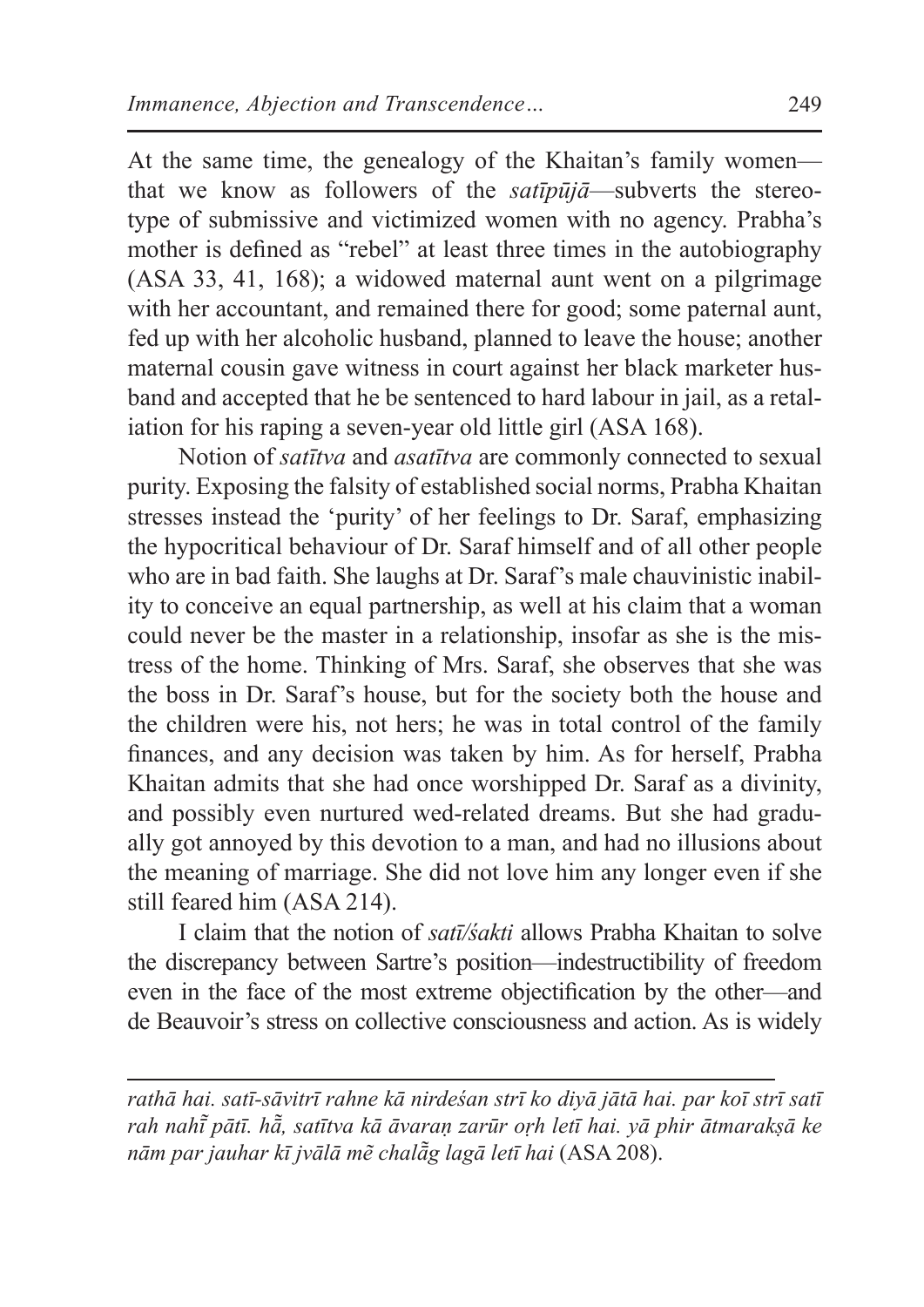At the same time, the genealogy of the Khaitan's family women that we know as followers of the *satīpūjā*—subverts the stereotype of submissive and victimized women with no agency. Prabha's mother is defined as "rebel" at least three times in the autobiography (ASA 33, 41, 168); a widowed maternal aunt went on a pilgrimage with her accountant, and remained there for good; some paternal aunt, fed up with her alcoholic husband, planned to leave the house; another maternal cousin gave witness in court against her black marketer husband and accepted that he be sentenced to hard labour in jail, as a retaliation for his raping a seven-year old little girl (ASA 168).

Notion of *satītva* and *asatītva* are commonly connected to sexual purity. Exposing the falsity of established social norms, Prabha Khaitan stresses instead the 'purity' of her feelings to Dr. Saraf, emphasizing the hypocritical behaviour of Dr. Saraf himself and of all other people who are in bad faith. She laughs at Dr. Saraf's male chauvinistic inability to conceive an equal partnership, as well at his claim that a woman could never be the master in a relationship, insofar as she is the mistress of the home. Thinking of Mrs. Saraf, she observes that she was the boss in Dr. Saraf's house, but for the society both the house and the children were his, not hers; he was in total control of the family finances, and any decision was taken by him. As for herself, Prabha Khaitan admits that she had once worshipped Dr. Saraf as a divinity, and possibly even nurtured wed-related dreams. But she had gradually got annoyed by this devotion to a man, and had no illusions about the meaning of marriage. She did not love him any longer even if she still feared him (ASA 214).

I claim that the notion of *satī/śakti* allows Prabha Khaitan to solve the discrepancy between Sartre's position—indestructibility of freedom even in the face of the most extreme objectification by the other—and de Beauvoir's stress on collective consciousness and action. As is widely

*rathā hai. satī-sāvitrī rahne kā nirdeśan strī ko diyā jātā hai. par koī strī satī rah nahī pātī. hā ̃ ̃, satītva kā āvaraṇ zarūr oṛh letī hai. yā phir ātmarakṣā ke nām par jauhar kī jvālā mẽ chalā̃g lagā letī hai* (ASA 208).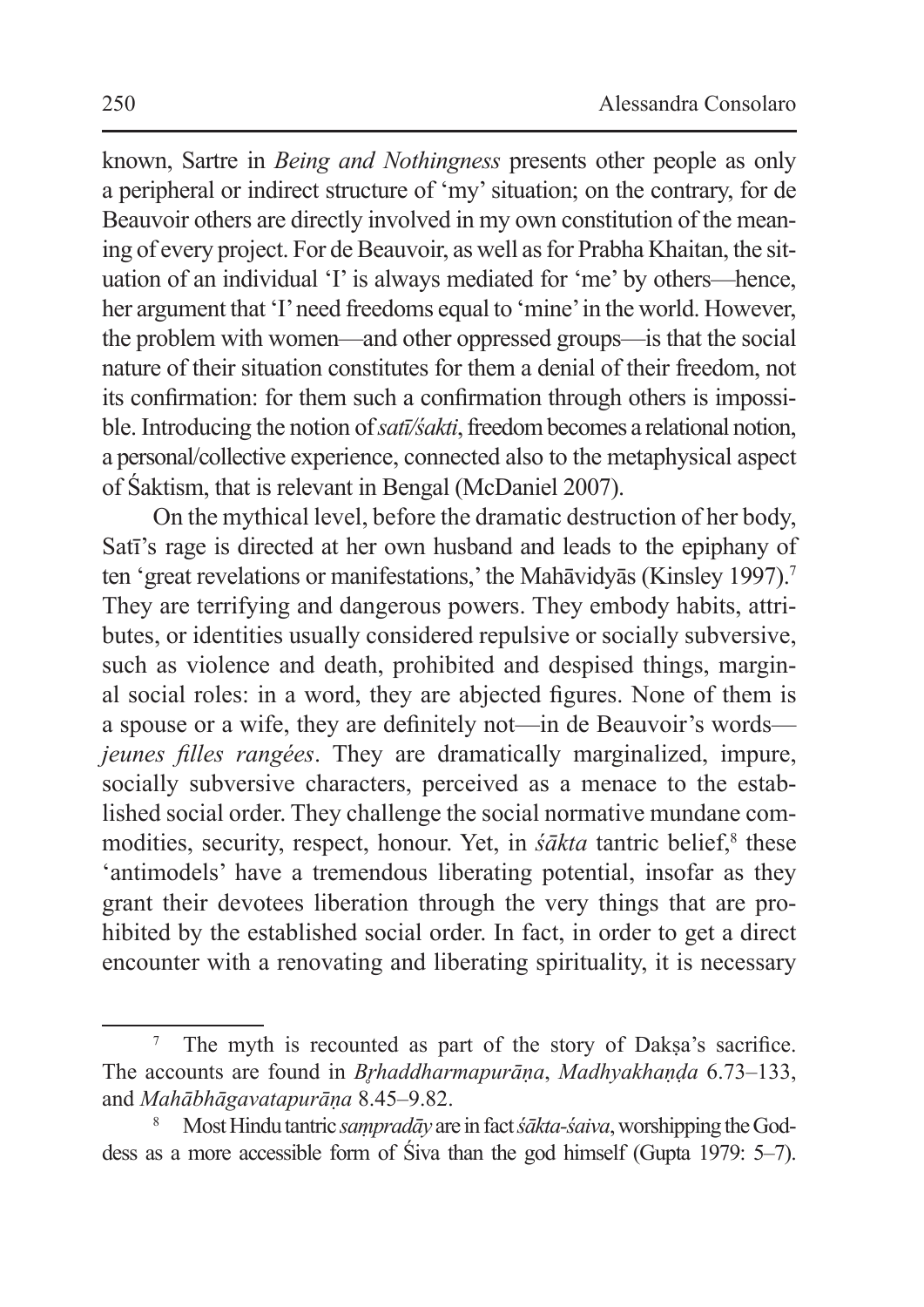known, Sartre in *Being and Nothingness* presents other people as only a peripheral or indirect structure of 'my'situation; on the contrary, for de Beauvoir others are directly involved in my own constitution of the meaning of every project. For de Beauvoir, as well as for Prabha Khaitan, the situation of an individual 'I' is always mediated for 'me' by others—hence, her argument that 'I'need freedoms equal to 'mine'in the world. However, the problem with women—and other oppressed groups—is that the social nature of their situation constitutes for them a denial of their freedom, not its confirmation: for them such a confirmation through others is impossible. Introducing the notion of *satī/sakti*, freedom becomes a relational notion, a personal/collective experience, connected also to the metaphysical aspect of Śaktism, that is relevant in Bengal (McDaniel 2007).

On the mythical level, before the dramatic destruction of her body, Satī's rage is directed at her own husband and leads to the epiphany of ten 'great revelations or manifestations,' the Mahāvidyās (Kinsley 1997).<sup>7</sup> They are terrifying and dangerous powers. They embody habits, attributes, or identities usually considered repulsive or socially subversive, such as violence and death, prohibited and despised things, marginal social roles: in a word, they are abjected figures. None of them is a spouse or a wife, they are definitely not—in de Beauvoir's words *jeunes filles rangées*. They are dramatically marginalized, impure, socially subversive characters, perceived as a menace to the established social order. They challenge the social normative mundane commodities, security, respect, honour. Yet, in *śākta* tantric belief,<sup>8</sup> these 'antimodels' have a tremendous liberating potential, insofar as they grant their devotees liberation through the very things that are prohibited by the established social order. In fact, in order to get a direct encounter with a renovating and liberating spirituality, it is necessary

The myth is recounted as part of the story of Daksa's sacrifice. The accounts are found in *B*̥*rhaddharmapurāṇa*, *Madhyakhaṇḍa* 6.73–133, and *Mahābhāgavatapurāṇa* 8.45–9.82.

<sup>8</sup> MostHindu tantric *saṃpradāy* are in fact *śākta-śaiva*,worshipping the Goddess as a more accessible form of Śiva than the god himself (Gupta 1979: 5–7).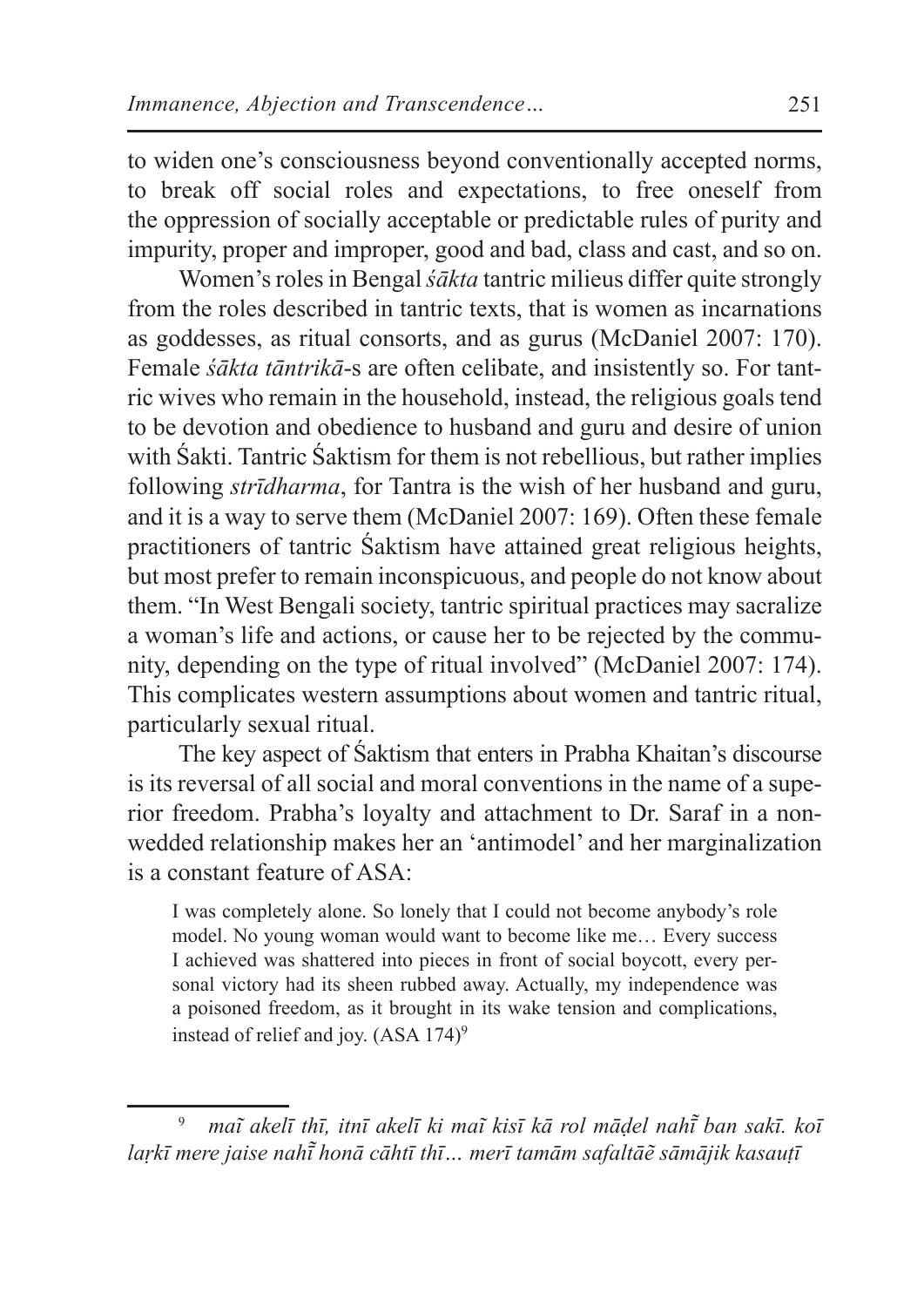to widen one's consciousness beyond conventionally accepted norms, to break off social roles and expectations, to free oneself from the oppression of socially acceptable or predictable rules of purity and impurity, proper and improper, good and bad, class and cast, and so on.

Women's roles in Bengal *śākta* tantric milieus differ quite strongly from the roles described in tantric texts, that is women as incarnations as goddesses, as ritual consorts, and as gurus (McDaniel 2007: 170). Female *śākta tāntrikā*-s are often celibate, and insistently so. For tantric wives who remain in the household, instead, the religious goals tend to be devotion and obedience to husband and guru and desire of union with Śakti. Tantric Śaktism for them is not rebellious, but rather implies following *strīdharma*, for Tantra is the wish of her husband and guru, and it is a way to serve them (McDaniel 2007: 169). Often these female practitioners of tantric Śaktism have attained great religious heights, but most prefer to remain inconspicuous, and people do not know about them. "In West Bengali society, tantric spiritual practices may sacralize a woman's life and actions, or cause her to be rejected by the community, depending on the type of ritual involved" (McDaniel 2007: 174). This complicates western assumptions about women and tantric ritual, particularly sexual ritual.

The key aspect of Śaktism that enters in Prabha Khaitan's discourse is its reversal of all social and moral conventions in the name of a superior freedom. Prabha's loyalty and attachment to Dr. Saraf in a nonwedded relationship makes her an 'antimodel' and her marginalization is a constant feature of  $ASA$ .

I was completely alone. So lonely that I could not become anybody's role model. No young woman would want to become like me… Every success I achieved was shattered into pieces in front of social boycott, every personal victory had its sheen rubbed away. Actually, my independence was a poisoned freedom, as it brought in its wake tension and complications, instead of relief and joy.  $(ASA 174)$ <sup>9</sup>

<sup>9</sup> *maĩ akelī thī, itnī akelī ki maĩ kisī kā rol māḍel nahī ban sakī. koī ̃ laṛkī mere jaise nahī honā cāhtī thī… merī tamām safaltāẽ sāmājik kasauṭī ̃*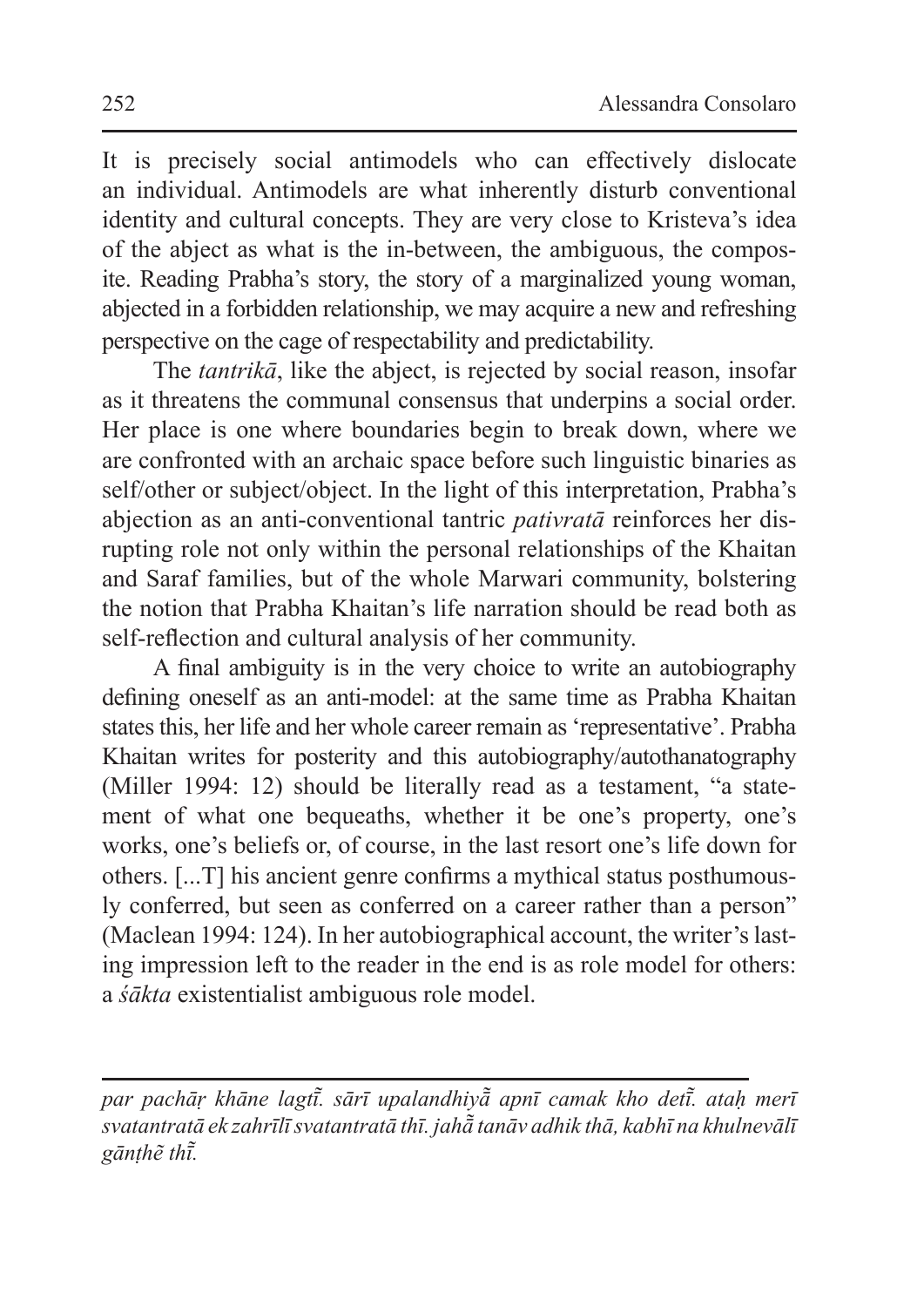It is precisely social antimodels who can effectively dislocate an individual. Antimodels are what inherently disturb conventional identity and cultural concepts. They are very close to Kristeva's idea of the abject as what is the in-between, the ambiguous, the composite. Reading Prabha's story, the story of a marginalized young woman, abjected in a forbidden relationship, we may acquire a new and refreshing perspective on the cage of respectability and predictability.

The *tantrikā*, like the abject, is rejected by social reason, insofar as it threatens the communal consensus that underpins a social order. Her place is one where boundaries begin to break down, where we are confronted with an archaic space before such linguistic binaries as self/other or subject/object. In the light of this interpretation, Prabha's abjection as an anti-conventional tantric *pativratā* reinforces her disrupting role not only within the personal relationships of the Khaitan and Saraf families, but of the whole Marwari community, bolstering the notion that Prabha Khaitan's life narration should be read both as self-reflection and cultural analysis of her community.

A final ambiguity is in the very choice to write an autobiography defining oneself as an anti-model: at the same time as Prabha Khaitan states this, her life and her whole career remain as 'representative'. Prabha Khaitan writes for posterity and this autobiography/autothanatography (Miller 1994: 12) should be literally read as a testament, "a statement of what one bequeaths, whether it be one's property, one's works, one's beliefs or, of course, in the last resort one's life down for others. [...T] his ancient genre confirms a mythical status posthumously conferred, but seen as conferred on a career rather than a person" (Maclean 1994: 124). In her autobiographical account, the writer's lasting impression left to the reader in the end is as role model for others: a *śākta* existentialist ambiguous role model.

*par pachāṛ khāne lagtī. sārī upalandhiyā ̃ ̃ apnī camak kho detī. ataḥ merī ̃ svatantratā ek zahrīlī svatantratā thī. jahā̃ tanāv adhik thā, kabhī na khulnevālī gānṭhẽ thī.̃*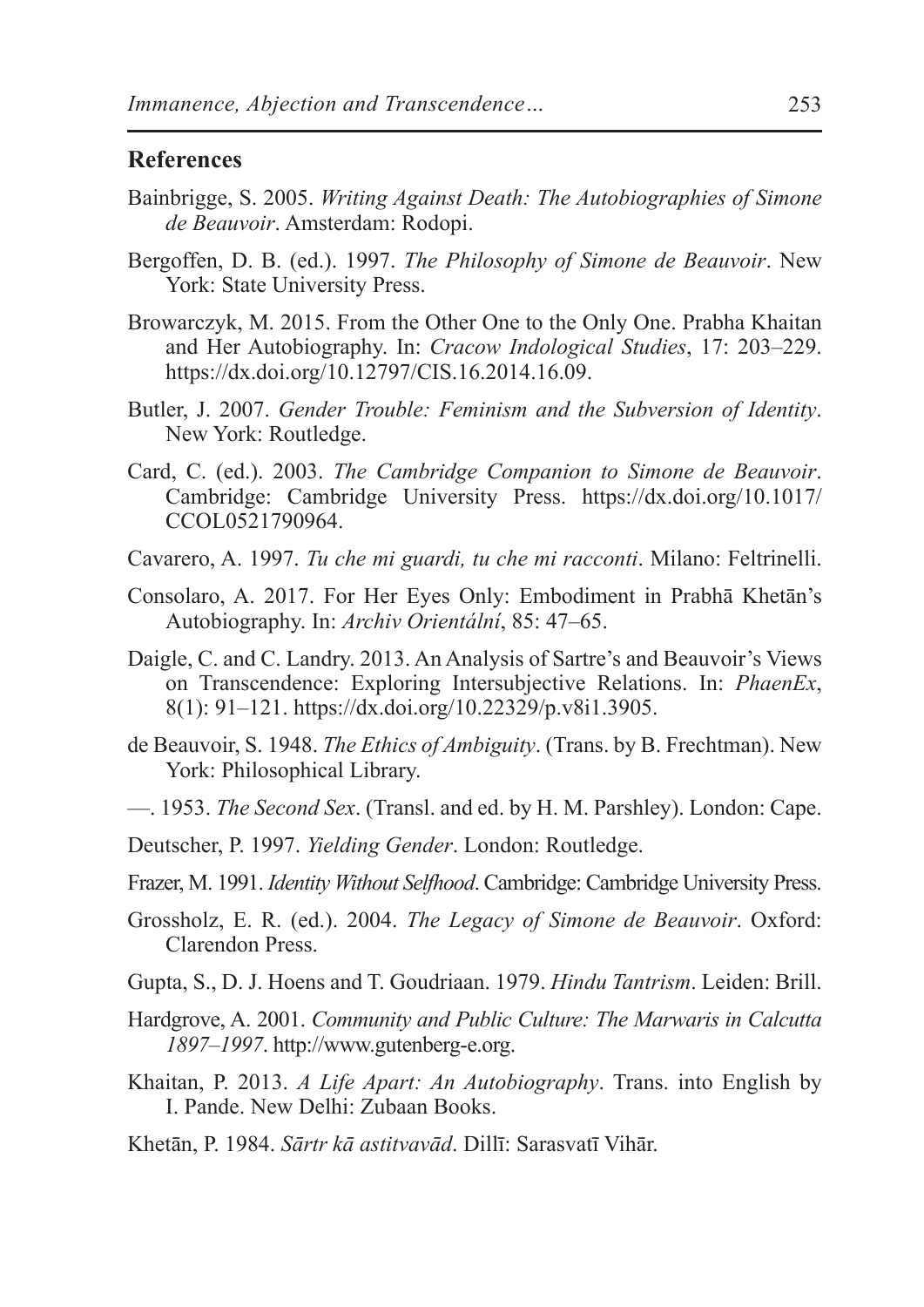#### **References**

- Bainbrigge, S. 2005. *Writing Against Death: The Autobiographies of Simone de Beauvoir*. Amsterdam: Rodopi.
- Bergoffen, D. B. (ed.). 1997. *The Philosophy of Simone de Beauvoir*. New York: State University Press.
- Browarczyk, M. 2015. From the Other One to the Only One. Prabha Khaitan and Her Autobiography. In: *Cracow Indological Studies*, 17: 203–229. https://dx.doi.org/10.12797/CIS.16.2014.16.09.
- Butler, J. 2007. *Gender Trouble: Feminism and the Subversion of Identity*. New York: Routledge.
- Card, C. (ed.). 2003. *The Cambridge Companion to Simone de Beauvoir*. Cambridge: Cambridge University Press. https://dx.doi.org/10.1017/ CCOL0521790964.
- Cavarero, A. 1997. *Tu che mi guardi, tu che mi racconti*. Milano: Feltrinelli.
- Consolaro, A. 2017. For Her Eyes Only: Embodiment in Prabhā Khetān's Autobiography. In: *Archiv Orientální*, 85: 47–65.
- Daigle, C. and C. Landry. 2013. An Analysis of Sartre's and Beauvoir's Views on Transcendence: Exploring Intersubjective Relations. In: *PhaenEx*, 8(1): 91–121. https://dx.doi.org/10.22329/p.v8i1.3905.
- de Beauvoir, S. 1948. *The Ethics of Ambiguity*. (Trans. by B. Frechtman). New York: Philosophical Library.
- —. 1953. *The Second Sex*. (Transl. and ed. by H. M. Parshley). London: Cape.
- Deutscher, P. 1997. *Yielding Gender*. London: Routledge.
- Frazer, M. 1991. *Identity Without Selfhood*. Cambridge: Cambridge University Press.
- Grossholz, E. R. (ed.). 2004. *The Legacy of Simone de Beauvoir*. Oxford: Clarendon Press.
- Gupta, S., D. J. Hoens and T. Goudriaan. 1979. *Hindu Tantrism*. Leiden: Brill.
- Hardgrove, A. 2001. *Community and Public Culture: The Marwaris in Calcutta 1897–1997*. http://www.gutenberg-e.org.
- Khaitan, P. 2013. *A Life Apart: An Autobiography*. Trans. into English by I. Pande. New Delhi: Zubaan Books.
- Khetān, P. 1984. *Sārtr kā astitvavād*. Dillī: Sarasvatī Vihār.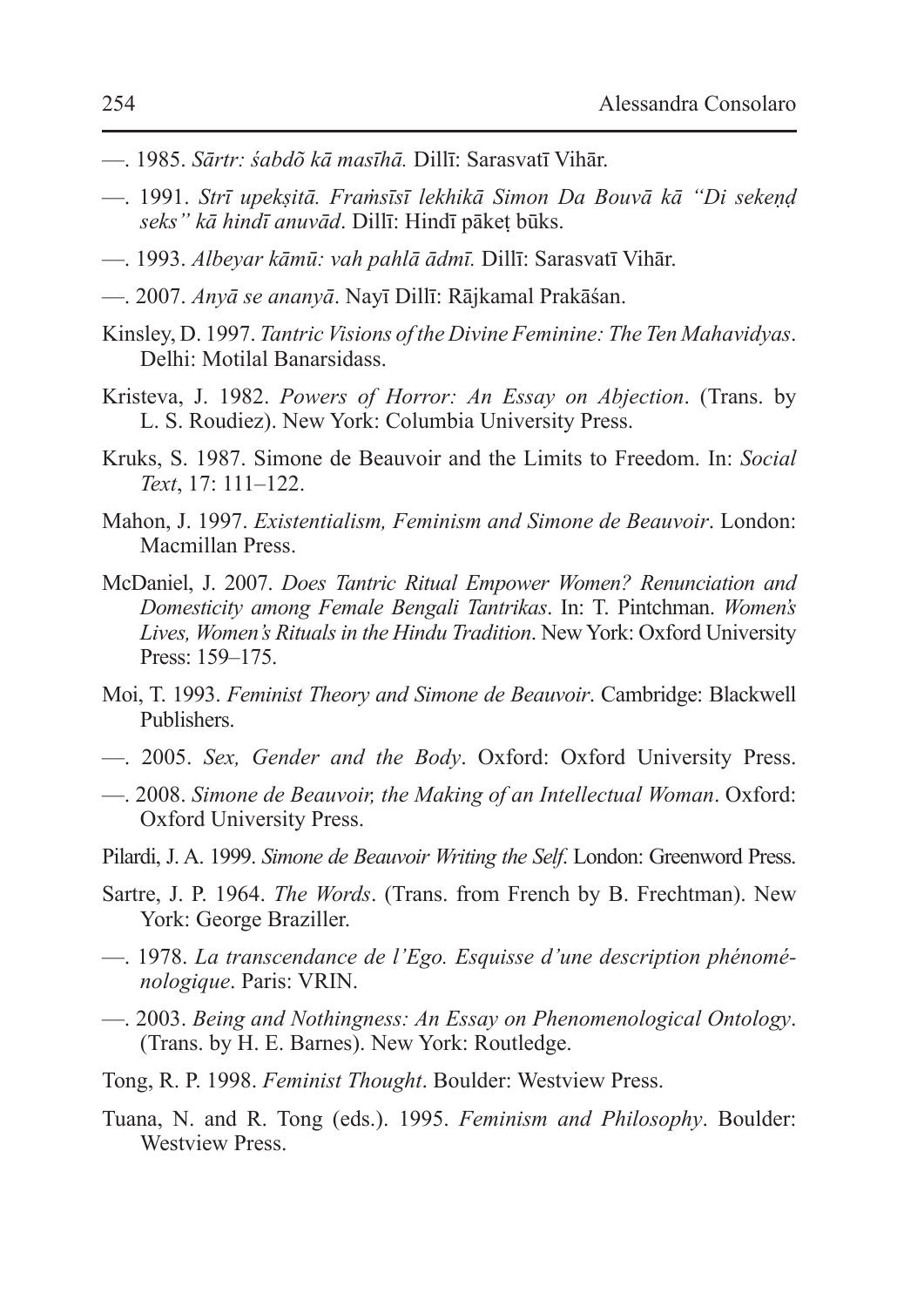- —. 1985. *Sārtr: śabdõ kā masīhā.* Dillī: Sarasvatī Vihār.
- —. 1991. *Strī upekṣitā. Fraṁsīsī lekhikā Simon Da Bouvā kā "Di sekeṇḍ seks" kā hindī anuvād*. Dillī: Hindī pākeṭ būks.
- —. 1993. *Albeyar kāmū: vah pahlā ādmī.* Dillī: Sarasvatī Vihār.
- —. 2007. *Anyā se ananyā*. Nayī Dillī: Rājkamal Prakāśan.
- Kinsley, D. 1997. *Tantric Visions of the Divine Feminine: The Ten Mahavidyas*. Delhi: Motilal Banarsidass.
- Kristeva, J. 1982. *Powers of Horror: An Essay on Abjection*. (Trans. by L. S. Roudiez). New York: Columbia University Press.
- Kruks, S. 1987. Simone de Beauvoir and the Limits to Freedom. In: *Social Text*, 17: 111–122.
- Mahon, J. 1997. *Existentialism, Feminism and Simone de Beauvoir*. London: Macmillan Press.
- McDaniel, J. 2007. *Does Tantric Ritual Empower Women? Renunciation and Domesticity among Female Bengali Tantrikas*. In: T. Pintchman. *Women's Lives, Women's Rituals in the Hindu Tradition*. New York: Oxford University Press: 159–175.
- Moi, T. 1993. *Feminist Theory and Simone de Beauvoir*. Cambridge: Blackwell Publishers.
- —. 2005. *Sex, Gender and the Body*. Oxford: Oxford University Press.
- —. 2008. *Simone de Beauvoir, the Making of an Intellectual Woman*. Oxford: Oxford University Press.
- Pilardi, J. A. 1999. *Simone de Beauvoir Writing the Self*. London: Greenword Press.
- Sartre, J. P. 1964. *The Words*. (Trans. from French by B. Frechtman). New York: George Braziller.
- —. 1978. *La transcendance de l'Ego. Esquisse d'une description phénoménologique*. Paris: VRIN.
- —. 2003. *Being and Nothingness: An Essay on Phenomenological Ontology*. (Trans. by H. E. Barnes). New York: Routledge.
- Tong, R. P. 1998. *Feminist Thought*. Boulder: Westview Press.
- Tuana, N. and R. Tong (eds.). 1995. *Feminism and Philosophy*. Boulder: Westview Press.